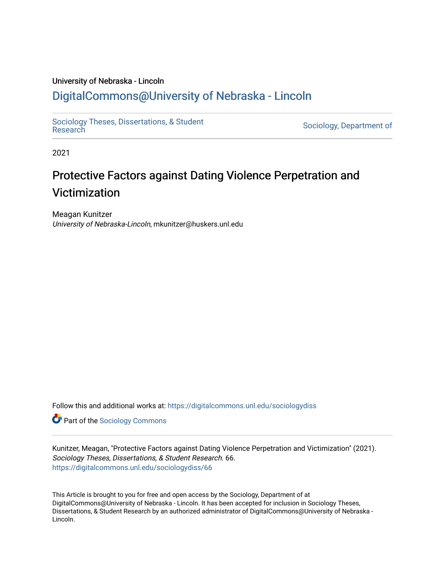#### University of Nebraska - Lincoln

# [DigitalCommons@University of Nebraska - Lincoln](https://digitalcommons.unl.edu/)

[Sociology Theses, Dissertations, & Student](https://digitalcommons.unl.edu/sociologydiss)

Sociology, Department of

2021

# Protective Factors against Dating Violence Perpetration and Victimization

Meagan Kunitzer University of Nebraska-Lincoln, mkunitzer@huskers.unl.edu

Follow this and additional works at: [https://digitalcommons.unl.edu/sociologydiss](https://digitalcommons.unl.edu/sociologydiss?utm_source=digitalcommons.unl.edu%2Fsociologydiss%2F66&utm_medium=PDF&utm_campaign=PDFCoverPages) 

**Part of the [Sociology Commons](http://network.bepress.com/hgg/discipline/416?utm_source=digitalcommons.unl.edu%2Fsociologydiss%2F66&utm_medium=PDF&utm_campaign=PDFCoverPages)** 

Kunitzer, Meagan, "Protective Factors against Dating Violence Perpetration and Victimization" (2021). Sociology Theses, Dissertations, & Student Research. 66. [https://digitalcommons.unl.edu/sociologydiss/66](https://digitalcommons.unl.edu/sociologydiss/66?utm_source=digitalcommons.unl.edu%2Fsociologydiss%2F66&utm_medium=PDF&utm_campaign=PDFCoverPages)

This Article is brought to you for free and open access by the Sociology, Department of at DigitalCommons@University of Nebraska - Lincoln. It has been accepted for inclusion in Sociology Theses, Dissertations, & Student Research by an authorized administrator of DigitalCommons@University of Nebraska - Lincoln.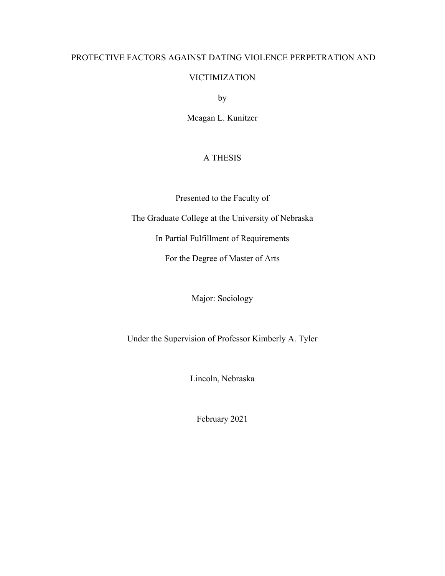# PROTECTIVE FACTORS AGAINST DATING VIOLENCE PERPETRATION AND

# VICTIMIZATION

by

Meagan L. Kunitzer

# A THESIS

Presented to the Faculty of

The Graduate College at the University of Nebraska

In Partial Fulfillment of Requirements

For the Degree of Master of Arts

Major: Sociology

Under the Supervision of Professor Kimberly A. Tyler

Lincoln, Nebraska

February 2021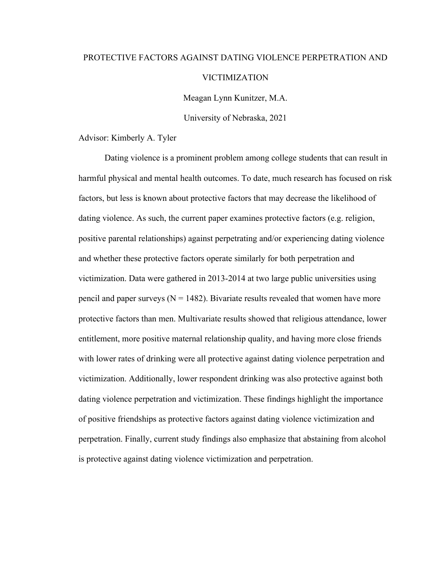# PROTECTIVE FACTORS AGAINST DATING VIOLENCE PERPETRATION AND VICTIMIZATION

Meagan Lynn Kunitzer, M.A.

University of Nebraska, 2021

Advisor: Kimberly A. Tyler

Dating violence is a prominent problem among college students that can result in harmful physical and mental health outcomes. To date, much research has focused on risk factors, but less is known about protective factors that may decrease the likelihood of dating violence. As such, the current paper examines protective factors (e.g. religion, positive parental relationships) against perpetrating and/or experiencing dating violence and whether these protective factors operate similarly for both perpetration and victimization. Data were gathered in 2013-2014 at two large public universities using pencil and paper surveys ( $N = 1482$ ). Bivariate results revealed that women have more protective factors than men. Multivariate results showed that religious attendance, lower entitlement, more positive maternal relationship quality, and having more close friends with lower rates of drinking were all protective against dating violence perpetration and victimization. Additionally, lower respondent drinking was also protective against both dating violence perpetration and victimization. These findings highlight the importance of positive friendships as protective factors against dating violence victimization and perpetration. Finally, current study findings also emphasize that abstaining from alcohol is protective against dating violence victimization and perpetration.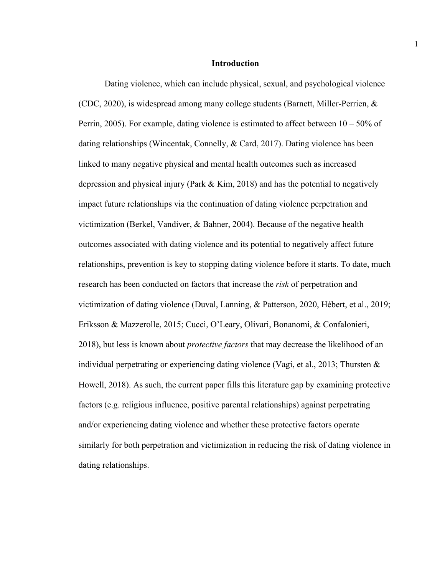#### **Introduction**

Dating violence, which can include physical, sexual, and psychological violence (CDC, 2020), is widespread among many college students (Barnett, Miller-Perrien, & Perrin, 2005). For example, dating violence is estimated to affect between  $10 - 50\%$  of dating relationships (Wincentak, Connelly, & Card, 2017). Dating violence has been linked to many negative physical and mental health outcomes such as increased depression and physical injury (Park & Kim, 2018) and has the potential to negatively impact future relationships via the continuation of dating violence perpetration and victimization (Berkel, Vandiver, & Bahner, 2004). Because of the negative health outcomes associated with dating violence and its potential to negatively affect future relationships, prevention is key to stopping dating violence before it starts. To date, much research has been conducted on factors that increase the *risk* of perpetration and victimization of dating violence (Duval, Lanning, & Patterson, 2020, Hébert, et al., 2019; Eriksson & Mazzerolle, 2015; Cuccì, O'Leary, Olivari, Bonanomi, & Confalonieri, 2018), but less is known about *protective factors* that may decrease the likelihood of an individual perpetrating or experiencing dating violence (Vagi, et al., 2013; Thursten & Howell, 2018). As such, the current paper fills this literature gap by examining protective factors (e.g. religious influence, positive parental relationships) against perpetrating and/or experiencing dating violence and whether these protective factors operate similarly for both perpetration and victimization in reducing the risk of dating violence in dating relationships.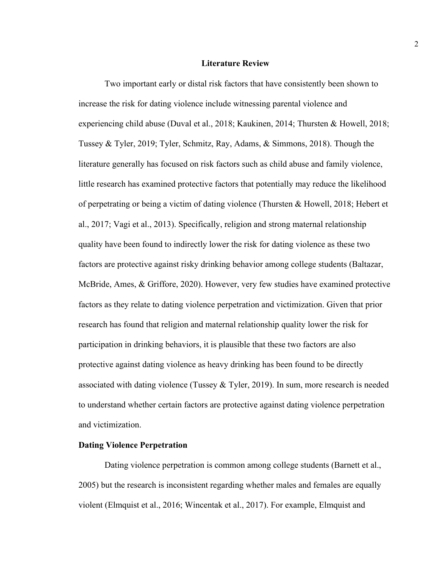#### **Literature Review**

Two important early or distal risk factors that have consistently been shown to increase the risk for dating violence include witnessing parental violence and experiencing child abuse (Duval et al., 2018; Kaukinen, 2014; Thursten & Howell, 2018; Tussey & Tyler, 2019; Tyler, Schmitz, Ray, Adams, & Simmons, 2018). Though the literature generally has focused on risk factors such as child abuse and family violence, little research has examined protective factors that potentially may reduce the likelihood of perpetrating or being a victim of dating violence (Thursten & Howell, 2018; Hebert et al., 2017; Vagi et al., 2013). Specifically, religion and strong maternal relationship quality have been found to indirectly lower the risk for dating violence as these two factors are protective against risky drinking behavior among college students (Baltazar, McBride, Ames, & Griffore, 2020). However, very few studies have examined protective factors as they relate to dating violence perpetration and victimization. Given that prior research has found that religion and maternal relationship quality lower the risk for participation in drinking behaviors, it is plausible that these two factors are also protective against dating violence as heavy drinking has been found to be directly associated with dating violence (Tussey & Tyler, 2019). In sum, more research is needed to understand whether certain factors are protective against dating violence perpetration and victimization.

#### **Dating Violence Perpetration**

Dating violence perpetration is common among college students (Barnett et al., 2005) but the research is inconsistent regarding whether males and females are equally violent (Elmquist et al., 2016; Wincentak et al., 2017). For example, Elmquist and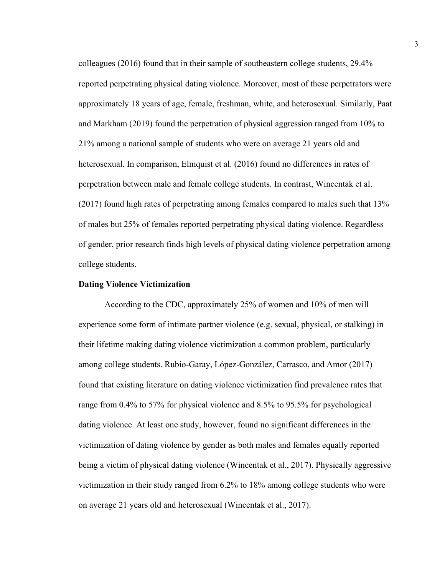colleagues (2016) found that in their sample of southeastern college students, 29.4% reported perpetrating physical dating violence. Moreover, most of these perpetrators were approximately 18 years of age, female, freshman, white, and heterosexual. Similarly, Paat and Markham (2019) found the perpetration of physical aggression ranged from 10% to 21% among a national sample of students who were on average 21 years old and heterosexual. In comparison, Elmquist et al. (2016) found no differences in rates of perpetration between male and female college students. In contrast, Wincentak et al. (2017) found high rates of perpetrating among females compared to males such that 13% of males but 25% of females reported perpetrating physical dating violence. Regardless of gender, prior research finds high levels of physical dating violence perpetration among college students.

#### **Dating Violence Victimization**

According to the CDC, approximately 25% of women and 10% of men will experience some form of intimate partner violence (e.g. sexual, physical, or stalking) in their lifetime making dating violence victimization a common problem, particularly among college students. Rubio-Garay, López-González, Carrasco, and Amor (2017) found that existing literature on dating violence victimization find prevalence rates that range from 0.4% to 57% for physical violence and 8.5% to 95.5% for psychological dating violence. At least one study, however, found no significant differences in the victimization of dating violence by gender as both males and females equally reported being a victim of physical dating violence (Wincentak et al., 2017). Physically aggressive victimization in their study ranged from 6.2% to 18% among college students who were on average 21 years old and heterosexual (Wincentak et al., 2017).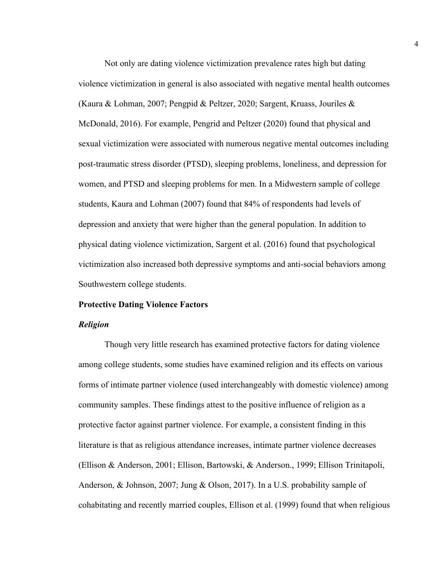Not only are dating violence victimization prevalence rates high but dating violence victimization in general is also associated with negative mental health outcomes (Kaura & Lohman, 2007; Pengpid & Peltzer, 2020; Sargent, Kruass, Jouriles & McDonald, 2016). For example, Pengrid and Peltzer (2020) found that physical and sexual victimization were associated with numerous negative mental outcomes including post-traumatic stress disorder (PTSD), sleeping problems, loneliness, and depression for women, and PTSD and sleeping problems for men. In a Midwestern sample of college students, Kaura and Lohman (2007) found that 84% of respondents had levels of depression and anxiety that were higher than the general population. In addition to physical dating violence victimization, Sargent et al. (2016) found that psychological victimization also increased both depressive symptoms and anti-social behaviors among Southwestern college students.

#### **Protective Dating Violence Factors**

#### *Religion*

Though very little research has examined protective factors for dating violence among college students, some studies have examined religion and its effects on various forms of intimate partner violence (used interchangeably with domestic violence) among community samples. These findings attest to the positive influence of religion as a protective factor against partner violence. For example, a consistent finding in this literature is that as religious attendance increases, intimate partner violence decreases (Ellison & Anderson, 2001; Ellison, Bartowski, & Anderson., 1999; Ellison Trinitapoli, Anderson, & Johnson, 2007; Jung & Olson, 2017). In a U.S. probability sample of cohabitating and recently married couples, Ellison et al. (1999) found that when religious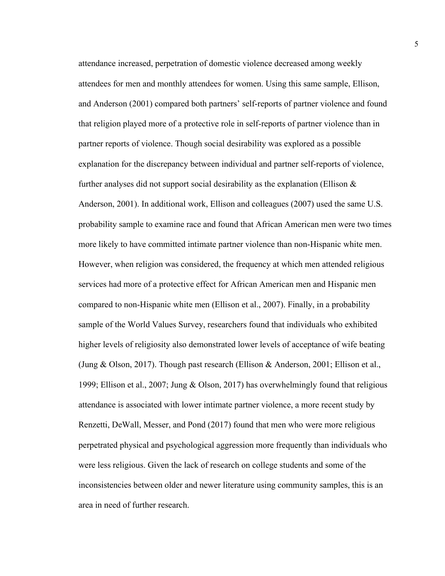attendance increased, perpetration of domestic violence decreased among weekly attendees for men and monthly attendees for women. Using this same sample, Ellison, and Anderson (2001) compared both partners' self-reports of partner violence and found that religion played more of a protective role in self-reports of partner violence than in partner reports of violence. Though social desirability was explored as a possible explanation for the discrepancy between individual and partner self-reports of violence, further analyses did not support social desirability as the explanation (Ellison  $\&$ Anderson, 2001). In additional work, Ellison and colleagues (2007) used the same U.S. probability sample to examine race and found that African American men were two times more likely to have committed intimate partner violence than non-Hispanic white men. However, when religion was considered, the frequency at which men attended religious services had more of a protective effect for African American men and Hispanic men compared to non-Hispanic white men (Ellison et al., 2007). Finally, in a probability sample of the World Values Survey, researchers found that individuals who exhibited higher levels of religiosity also demonstrated lower levels of acceptance of wife beating (Jung & Olson, 2017). Though past research (Ellison & Anderson, 2001; Ellison et al., 1999; Ellison et al., 2007; Jung & Olson, 2017) has overwhelmingly found that religious attendance is associated with lower intimate partner violence, a more recent study by Renzetti, DeWall, Messer, and Pond (2017) found that men who were more religious perpetrated physical and psychological aggression more frequently than individuals who were less religious. Given the lack of research on college students and some of the inconsistencies between older and newer literature using community samples, this is an area in need of further research.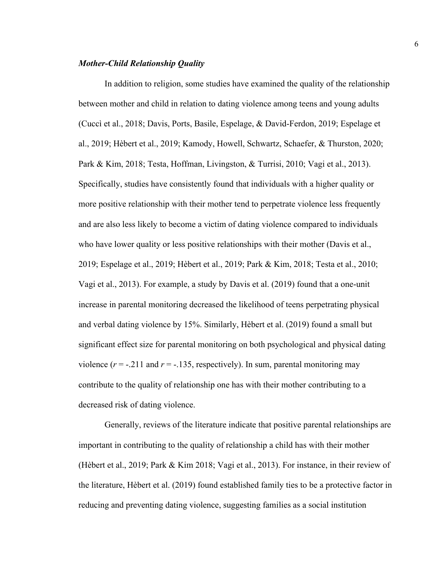#### *Mother-Child Relationship Quality*

In addition to religion, some studies have examined the quality of the relationship between mother and child in relation to dating violence among teens and young adults (Cuccì et al., 2018; Davis, Ports, Basile, Espelage, & David-Ferdon, 2019; Espelage et al., 2019; Hèbert et al., 2019; Kamody, Howell, Schwartz, Schaefer, & Thurston, 2020; Park & Kim, 2018; Testa, Hoffman, Livingston, & Turrisi, 2010; Vagi et al., 2013). Specifically, studies have consistently found that individuals with a higher quality or more positive relationship with their mother tend to perpetrate violence less frequently and are also less likely to become a victim of dating violence compared to individuals who have lower quality or less positive relationships with their mother (Davis et al., 2019; Espelage et al., 2019; Hèbert et al., 2019; Park & Kim, 2018; Testa et al., 2010; Vagi et al., 2013). For example, a study by Davis et al. (2019) found that a one-unit increase in parental monitoring decreased the likelihood of teens perpetrating physical and verbal dating violence by 15%. Similarly, Hèbert et al. (2019) found a small but significant effect size for parental monitoring on both psychological and physical dating violence  $(r = -.211$  and  $r = -.135$ , respectively). In sum, parental monitoring may contribute to the quality of relationship one has with their mother contributing to a decreased risk of dating violence.

Generally, reviews of the literature indicate that positive parental relationships are important in contributing to the quality of relationship a child has with their mother (Hèbert et al., 2019; Park & Kim 2018; Vagi et al., 2013). For instance, in their review of the literature, Hèbert et al. (2019) found established family ties to be a protective factor in reducing and preventing dating violence, suggesting families as a social institution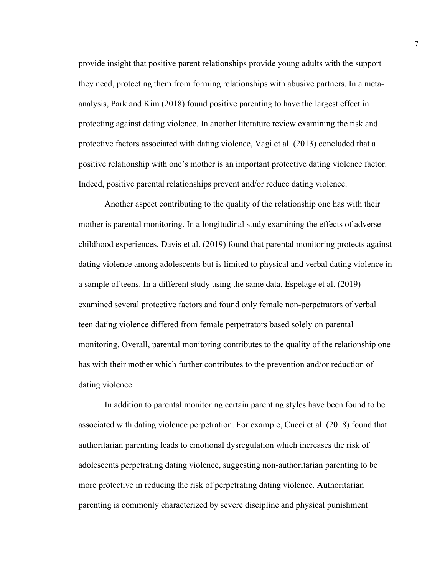provide insight that positive parent relationships provide young adults with the support they need, protecting them from forming relationships with abusive partners. In a metaanalysis, Park and Kim (2018) found positive parenting to have the largest effect in protecting against dating violence. In another literature review examining the risk and protective factors associated with dating violence, Vagi et al. (2013) concluded that a positive relationship with one's mother is an important protective dating violence factor. Indeed, positive parental relationships prevent and/or reduce dating violence.

Another aspect contributing to the quality of the relationship one has with their mother is parental monitoring. In a longitudinal study examining the effects of adverse childhood experiences, Davis et al. (2019) found that parental monitoring protects against dating violence among adolescents but is limited to physical and verbal dating violence in a sample of teens. In a different study using the same data, Espelage et al. (2019) examined several protective factors and found only female non-perpetrators of verbal teen dating violence differed from female perpetrators based solely on parental monitoring. Overall, parental monitoring contributes to the quality of the relationship one has with their mother which further contributes to the prevention and/or reduction of dating violence.

In addition to parental monitoring certain parenting styles have been found to be associated with dating violence perpetration. For example, Cuccì et al. (2018) found that authoritarian parenting leads to emotional dysregulation which increases the risk of adolescents perpetrating dating violence, suggesting non-authoritarian parenting to be more protective in reducing the risk of perpetrating dating violence. Authoritarian parenting is commonly characterized by severe discipline and physical punishment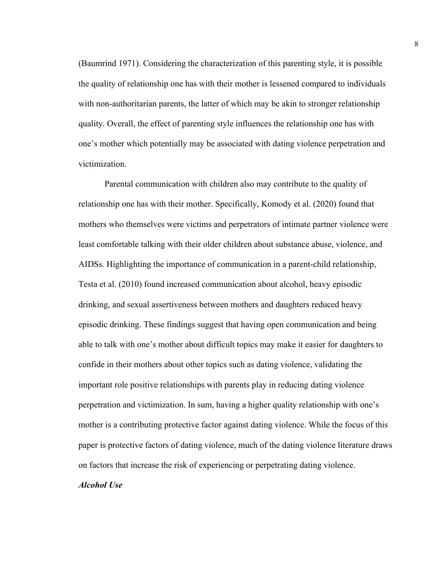(Baumrind 1971). Considering the characterization of this parenting style, it is possible the quality of relationship one has with their mother is lessened compared to individuals with non-authoritarian parents, the latter of which may be akin to stronger relationship quality. Overall, the effect of parenting style influences the relationship one has with one's mother which potentially may be associated with dating violence perpetration and victimization.

Parental communication with children also may contribute to the quality of relationship one has with their mother. Specifically, Komody et al. (2020) found that mothers who themselves were victims and perpetrators of intimate partner violence were least comfortable talking with their older children about substance abuse, violence, and AIDSs. Highlighting the importance of communication in a parent-child relationship, Testa et al. (2010) found increased communication about alcohol, heavy episodic drinking, and sexual assertiveness between mothers and daughters reduced heavy episodic drinking. These findings suggest that having open communication and being able to talk with one's mother about difficult topics may make it easier for daughters to confide in their mothers about other topics such as dating violence, validating the important role positive relationships with parents play in reducing dating violence perpetration and victimization. In sum, having a higher quality relationship with one's mother is a contributing protective factor against dating violence. While the focus of this paper is protective factors of dating violence, much of the dating violence literature draws on factors that increase the risk of experiencing or perpetrating dating violence.

# *Alcohol Use*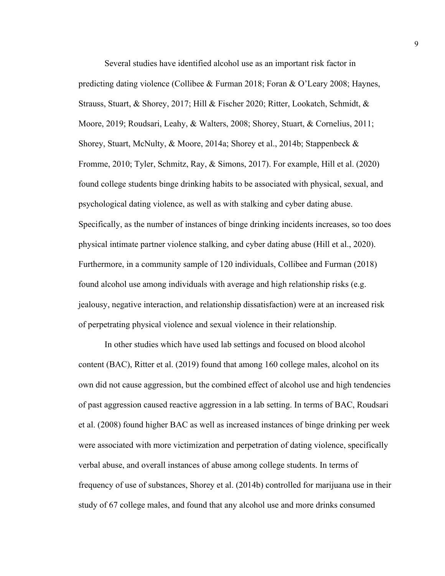Several studies have identified alcohol use as an important risk factor in predicting dating violence (Collibee & Furman 2018; Foran & O'Leary 2008; Haynes, Strauss, Stuart, & Shorey, 2017; Hill & Fischer 2020; Ritter, Lookatch, Schmidt, & Moore, 2019; Roudsari, Leahy, & Walters, 2008; Shorey, Stuart, & Cornelius, 2011; Shorey, Stuart, McNulty, & Moore, 2014a; Shorey et al., 2014b; Stappenbeck & Fromme, 2010; Tyler, Schmitz, Ray, & Simons, 2017). For example, Hill et al. (2020) found college students binge drinking habits to be associated with physical, sexual, and psychological dating violence, as well as with stalking and cyber dating abuse. Specifically, as the number of instances of binge drinking incidents increases, so too does physical intimate partner violence stalking, and cyber dating abuse (Hill et al., 2020). Furthermore, in a community sample of 120 individuals, Collibee and Furman (2018) found alcohol use among individuals with average and high relationship risks (e.g. jealousy, negative interaction, and relationship dissatisfaction) were at an increased risk of perpetrating physical violence and sexual violence in their relationship.

In other studies which have used lab settings and focused on blood alcohol content (BAC), Ritter et al. (2019) found that among 160 college males, alcohol on its own did not cause aggression, but the combined effect of alcohol use and high tendencies of past aggression caused reactive aggression in a lab setting. In terms of BAC, Roudsari et al. (2008) found higher BAC as well as increased instances of binge drinking per week were associated with more victimization and perpetration of dating violence, specifically verbal abuse, and overall instances of abuse among college students. In terms of frequency of use of substances, Shorey et al. (2014b) controlled for marijuana use in their study of 67 college males, and found that any alcohol use and more drinks consumed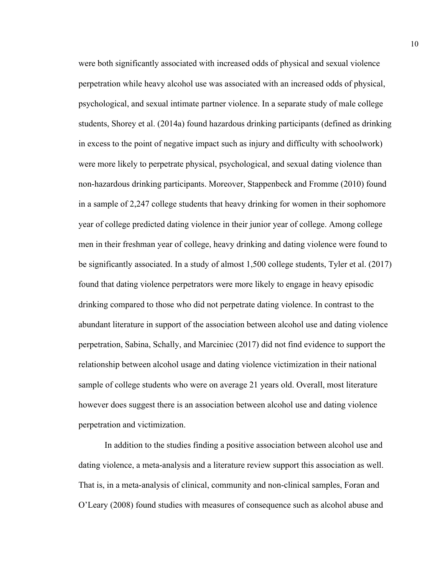were both significantly associated with increased odds of physical and sexual violence perpetration while heavy alcohol use was associated with an increased odds of physical, psychological, and sexual intimate partner violence. In a separate study of male college students, Shorey et al. (2014a) found hazardous drinking participants (defined as drinking in excess to the point of negative impact such as injury and difficulty with schoolwork) were more likely to perpetrate physical, psychological, and sexual dating violence than non-hazardous drinking participants. Moreover, Stappenbeck and Fromme (2010) found in a sample of 2,247 college students that heavy drinking for women in their sophomore year of college predicted dating violence in their junior year of college. Among college men in their freshman year of college, heavy drinking and dating violence were found to be significantly associated. In a study of almost 1,500 college students, Tyler et al. (2017) found that dating violence perpetrators were more likely to engage in heavy episodic drinking compared to those who did not perpetrate dating violence. In contrast to the abundant literature in support of the association between alcohol use and dating violence perpetration, Sabina, Schally, and Marciniec (2017) did not find evidence to support the relationship between alcohol usage and dating violence victimization in their national sample of college students who were on average 21 years old. Overall, most literature however does suggest there is an association between alcohol use and dating violence perpetration and victimization.

In addition to the studies finding a positive association between alcohol use and dating violence, a meta-analysis and a literature review support this association as well. That is, in a meta-analysis of clinical, community and non-clinical samples, Foran and O'Leary (2008) found studies with measures of consequence such as alcohol abuse and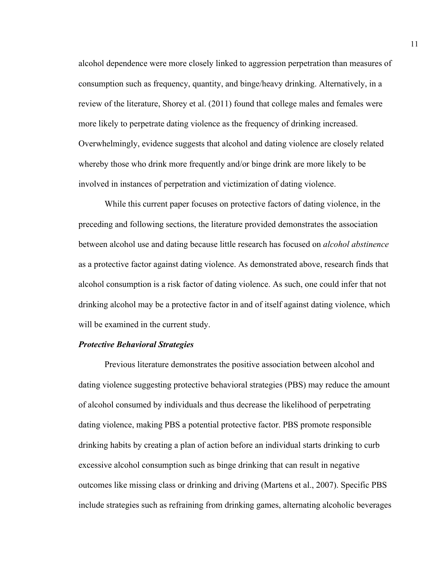alcohol dependence were more closely linked to aggression perpetration than measures of consumption such as frequency, quantity, and binge/heavy drinking. Alternatively, in a review of the literature, Shorey et al. (2011) found that college males and females were more likely to perpetrate dating violence as the frequency of drinking increased. Overwhelmingly, evidence suggests that alcohol and dating violence are closely related whereby those who drink more frequently and/or binge drink are more likely to be involved in instances of perpetration and victimization of dating violence.

While this current paper focuses on protective factors of dating violence, in the preceding and following sections, the literature provided demonstrates the association between alcohol use and dating because little research has focused on *alcohol abstinence* as a protective factor against dating violence. As demonstrated above, research finds that alcohol consumption is a risk factor of dating violence. As such, one could infer that not drinking alcohol may be a protective factor in and of itself against dating violence, which will be examined in the current study.

#### *Protective Behavioral Strategies*

Previous literature demonstrates the positive association between alcohol and dating violence suggesting protective behavioral strategies (PBS) may reduce the amount of alcohol consumed by individuals and thus decrease the likelihood of perpetrating dating violence, making PBS a potential protective factor. PBS promote responsible drinking habits by creating a plan of action before an individual starts drinking to curb excessive alcohol consumption such as binge drinking that can result in negative outcomes like missing class or drinking and driving (Martens et al., 2007). Specific PBS include strategies such as refraining from drinking games, alternating alcoholic beverages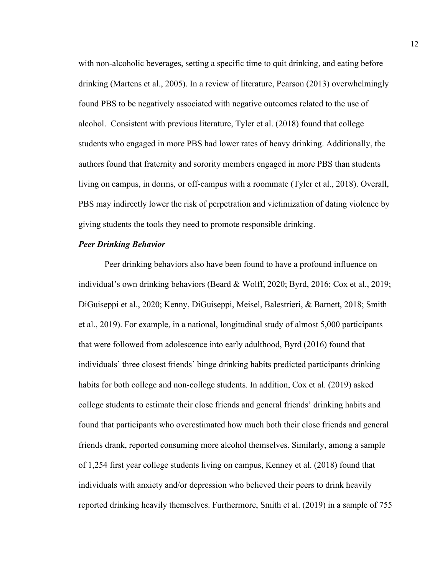with non-alcoholic beverages, setting a specific time to quit drinking, and eating before drinking (Martens et al., 2005). In a review of literature, Pearson (2013) overwhelmingly found PBS to be negatively associated with negative outcomes related to the use of alcohol. Consistent with previous literature, Tyler et al. (2018) found that college students who engaged in more PBS had lower rates of heavy drinking. Additionally, the authors found that fraternity and sorority members engaged in more PBS than students living on campus, in dorms, or off-campus with a roommate (Tyler et al., 2018). Overall, PBS may indirectly lower the risk of perpetration and victimization of dating violence by giving students the tools they need to promote responsible drinking.

#### *Peer Drinking Behavior*

Peer drinking behaviors also have been found to have a profound influence on individual's own drinking behaviors (Beard & Wolff, 2020; Byrd, 2016; Cox et al., 2019; DiGuiseppi et al., 2020; Kenny, DiGuiseppi, Meisel, Balestrieri, & Barnett, 2018; Smith et al., 2019). For example, in a national, longitudinal study of almost 5,000 participants that were followed from adolescence into early adulthood, Byrd (2016) found that individuals' three closest friends' binge drinking habits predicted participants drinking habits for both college and non-college students. In addition, Cox et al. (2019) asked college students to estimate their close friends and general friends' drinking habits and found that participants who overestimated how much both their close friends and general friends drank, reported consuming more alcohol themselves. Similarly, among a sample of 1,254 first year college students living on campus, Kenney et al. (2018) found that individuals with anxiety and/or depression who believed their peers to drink heavily reported drinking heavily themselves. Furthermore, Smith et al. (2019) in a sample of 755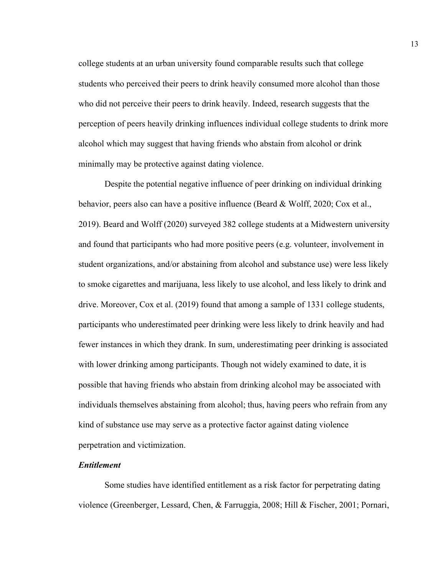college students at an urban university found comparable results such that college students who perceived their peers to drink heavily consumed more alcohol than those who did not perceive their peers to drink heavily. Indeed, research suggests that the perception of peers heavily drinking influences individual college students to drink more alcohol which may suggest that having friends who abstain from alcohol or drink minimally may be protective against dating violence.

Despite the potential negative influence of peer drinking on individual drinking behavior, peers also can have a positive influence (Beard & Wolff, 2020; Cox et al., 2019). Beard and Wolff (2020) surveyed 382 college students at a Midwestern university and found that participants who had more positive peers (e.g. volunteer, involvement in student organizations, and/or abstaining from alcohol and substance use) were less likely to smoke cigarettes and marijuana, less likely to use alcohol, and less likely to drink and drive. Moreover, Cox et al. (2019) found that among a sample of 1331 college students, participants who underestimated peer drinking were less likely to drink heavily and had fewer instances in which they drank. In sum, underestimating peer drinking is associated with lower drinking among participants. Though not widely examined to date, it is possible that having friends who abstain from drinking alcohol may be associated with individuals themselves abstaining from alcohol; thus, having peers who refrain from any kind of substance use may serve as a protective factor against dating violence perpetration and victimization.

#### *Entitlement*

Some studies have identified entitlement as a risk factor for perpetrating dating violence (Greenberger, Lessard, Chen, & Farruggia, 2008; Hill & Fischer, 2001; Pornari,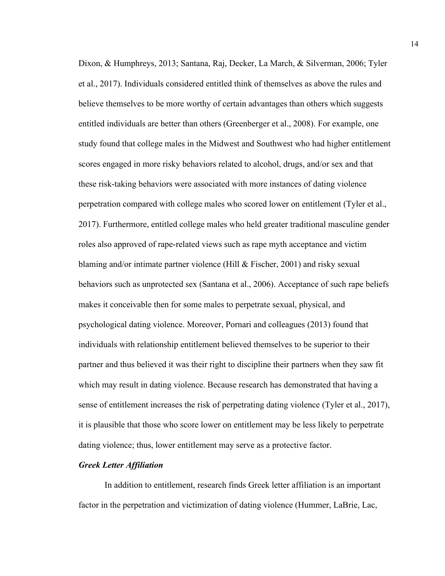Dixon, & Humphreys, 2013; Santana, Raj, Decker, La March, & Silverman, 2006; Tyler et al., 2017). Individuals considered entitled think of themselves as above the rules and believe themselves to be more worthy of certain advantages than others which suggests entitled individuals are better than others (Greenberger et al., 2008). For example, one study found that college males in the Midwest and Southwest who had higher entitlement scores engaged in more risky behaviors related to alcohol, drugs, and/or sex and that these risk-taking behaviors were associated with more instances of dating violence perpetration compared with college males who scored lower on entitlement (Tyler et al., 2017). Furthermore, entitled college males who held greater traditional masculine gender roles also approved of rape-related views such as rape myth acceptance and victim blaming and/or intimate partner violence (Hill & Fischer, 2001) and risky sexual behaviors such as unprotected sex (Santana et al., 2006). Acceptance of such rape beliefs makes it conceivable then for some males to perpetrate sexual, physical, and psychological dating violence. Moreover, Pornari and colleagues (2013) found that individuals with relationship entitlement believed themselves to be superior to their partner and thus believed it was their right to discipline their partners when they saw fit which may result in dating violence. Because research has demonstrated that having a sense of entitlement increases the risk of perpetrating dating violence (Tyler et al., 2017), it is plausible that those who score lower on entitlement may be less likely to perpetrate dating violence; thus, lower entitlement may serve as a protective factor.

# *Greek Letter Affiliation*

In addition to entitlement, research finds Greek letter affiliation is an important factor in the perpetration and victimization of dating violence (Hummer, LaBrie, Lac,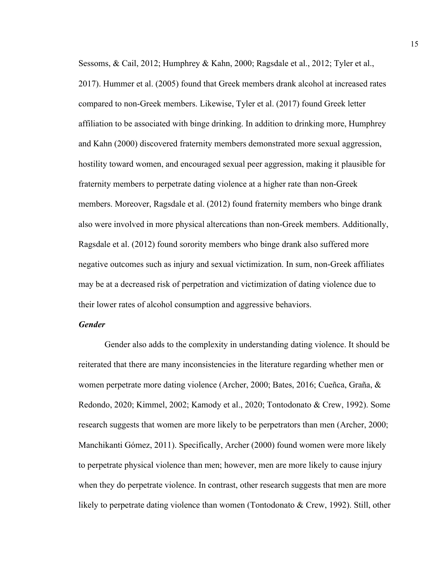Sessoms, & Cail, 2012; Humphrey & Kahn, 2000; Ragsdale et al., 2012; Tyler et al., 2017). Hummer et al. (2005) found that Greek members drank alcohol at increased rates compared to non-Greek members. Likewise, Tyler et al. (2017) found Greek letter affiliation to be associated with binge drinking. In addition to drinking more, Humphrey and Kahn (2000) discovered fraternity members demonstrated more sexual aggression, hostility toward women, and encouraged sexual peer aggression, making it plausible for fraternity members to perpetrate dating violence at a higher rate than non-Greek members. Moreover, Ragsdale et al. (2012) found fraternity members who binge drank also were involved in more physical altercations than non-Greek members. Additionally, Ragsdale et al. (2012) found sorority members who binge drank also suffered more negative outcomes such as injury and sexual victimization. In sum, non-Greek affiliates may be at a decreased risk of perpetration and victimization of dating violence due to their lower rates of alcohol consumption and aggressive behaviors.

#### *Gender*

Gender also adds to the complexity in understanding dating violence. It should be reiterated that there are many inconsistencies in the literature regarding whether men or women perpetrate more dating violence (Archer, 2000; Bates, 2016; Cueñca, Graña, & Redondo, 2020; Kimmel, 2002; Kamody et al., 2020; Tontodonato & Crew, 1992). Some research suggests that women are more likely to be perpetrators than men (Archer, 2000; Manchikanti Gómez, 2011). Specifically, Archer (2000) found women were more likely to perpetrate physical violence than men; however, men are more likely to cause injury when they do perpetrate violence. In contrast, other research suggests that men are more likely to perpetrate dating violence than women (Tontodonato & Crew, 1992). Still, other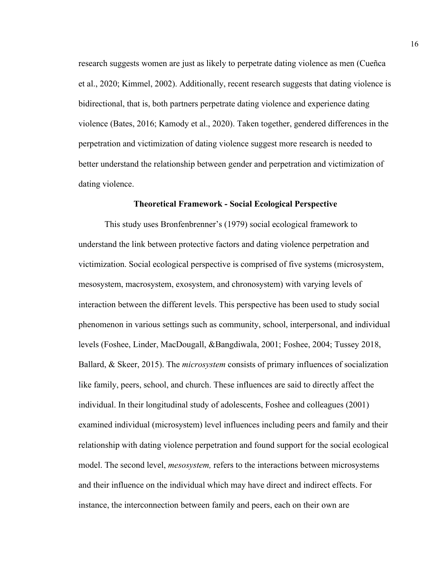research suggests women are just as likely to perpetrate dating violence as men (Cueñca et al., 2020; Kimmel, 2002). Additionally, recent research suggests that dating violence is bidirectional, that is, both partners perpetrate dating violence and experience dating violence (Bates, 2016; Kamody et al., 2020). Taken together, gendered differences in the perpetration and victimization of dating violence suggest more research is needed to better understand the relationship between gender and perpetration and victimization of dating violence.

#### **Theoretical Framework - Social Ecological Perspective**

This study uses Bronfenbrenner's (1979) social ecological framework to understand the link between protective factors and dating violence perpetration and victimization. Social ecological perspective is comprised of five systems (microsystem, mesosystem, macrosystem, exosystem, and chronosystem) with varying levels of interaction between the different levels. This perspective has been used to study social phenomenon in various settings such as community, school, interpersonal, and individual levels (Foshee, Linder, MacDougall, &Bangdiwala, 2001; Foshee, 2004; Tussey 2018, Ballard, & Skeer, 2015). The *microsystem* consists of primary influences of socialization like family, peers, school, and church. These influences are said to directly affect the individual. In their longitudinal study of adolescents, Foshee and colleagues (2001) examined individual (microsystem) level influences including peers and family and their relationship with dating violence perpetration and found support for the social ecological model. The second level, *mesosystem,* refers to the interactions between microsystems and their influence on the individual which may have direct and indirect effects. For instance, the interconnection between family and peers, each on their own are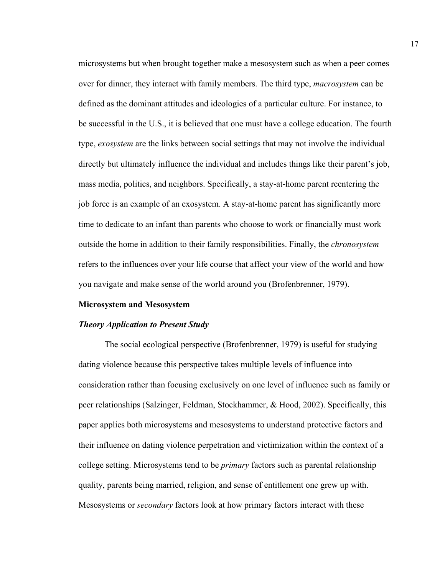microsystems but when brought together make a mesosystem such as when a peer comes over for dinner, they interact with family members. The third type, *macrosystem* can be defined as the dominant attitudes and ideologies of a particular culture. For instance, to be successful in the U.S., it is believed that one must have a college education. The fourth type, *exosystem* are the links between social settings that may not involve the individual directly but ultimately influence the individual and includes things like their parent's job, mass media, politics, and neighbors. Specifically, a stay-at-home parent reentering the job force is an example of an exosystem. A stay-at-home parent has significantly more time to dedicate to an infant than parents who choose to work or financially must work outside the home in addition to their family responsibilities. Finally, the *chronosystem* refers to the influences over your life course that affect your view of the world and how you navigate and make sense of the world around you (Brofenbrenner, 1979).

#### **Microsystem and Mesosystem**

#### *Theory Application to Present Study*

The social ecological perspective (Brofenbrenner, 1979) is useful for studying dating violence because this perspective takes multiple levels of influence into consideration rather than focusing exclusively on one level of influence such as family or peer relationships (Salzinger, Feldman, Stockhammer, & Hood, 2002). Specifically, this paper applies both microsystems and mesosystems to understand protective factors and their influence on dating violence perpetration and victimization within the context of a college setting. Microsystems tend to be *primary* factors such as parental relationship quality, parents being married, religion, and sense of entitlement one grew up with. Mesosystems or *secondary* factors look at how primary factors interact with these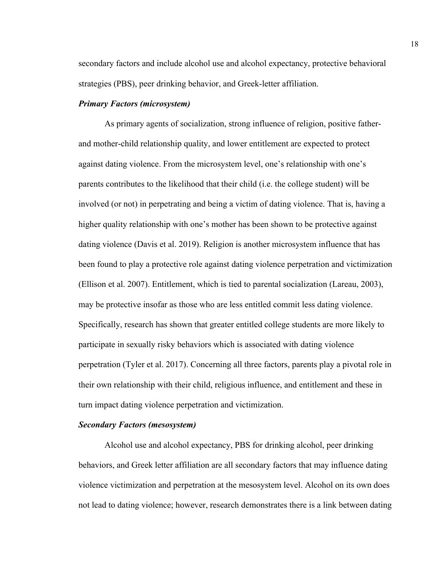secondary factors and include alcohol use and alcohol expectancy, protective behavioral strategies (PBS), peer drinking behavior, and Greek-letter affiliation.

#### *Primary Factors (microsystem)*

As primary agents of socialization, strong influence of religion, positive fatherand mother-child relationship quality, and lower entitlement are expected to protect against dating violence. From the microsystem level, one's relationship with one's parents contributes to the likelihood that their child (i.e. the college student) will be involved (or not) in perpetrating and being a victim of dating violence. That is, having a higher quality relationship with one's mother has been shown to be protective against dating violence (Davis et al. 2019). Religion is another microsystem influence that has been found to play a protective role against dating violence perpetration and victimization (Ellison et al. 2007). Entitlement, which is tied to parental socialization (Lareau, 2003), may be protective insofar as those who are less entitled commit less dating violence. Specifically, research has shown that greater entitled college students are more likely to participate in sexually risky behaviors which is associated with dating violence perpetration (Tyler et al. 2017). Concerning all three factors, parents play a pivotal role in their own relationship with their child, religious influence, and entitlement and these in turn impact dating violence perpetration and victimization.

#### *Secondary Factors (mesosystem)*

Alcohol use and alcohol expectancy, PBS for drinking alcohol, peer drinking behaviors, and Greek letter affiliation are all secondary factors that may influence dating violence victimization and perpetration at the mesosystem level. Alcohol on its own does not lead to dating violence; however, research demonstrates there is a link between dating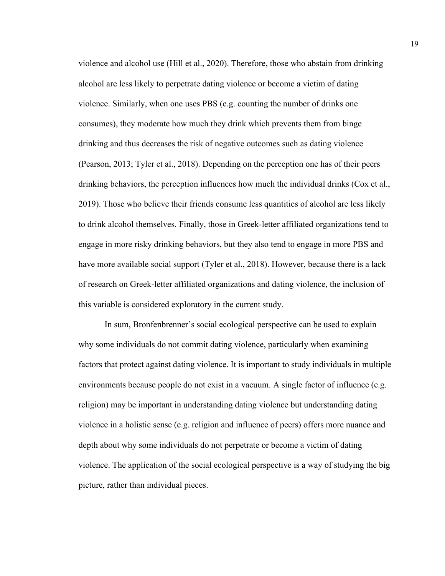violence and alcohol use (Hill et al., 2020). Therefore, those who abstain from drinking alcohol are less likely to perpetrate dating violence or become a victim of dating violence. Similarly, when one uses PBS (e.g. counting the number of drinks one consumes), they moderate how much they drink which prevents them from binge drinking and thus decreases the risk of negative outcomes such as dating violence (Pearson, 2013; Tyler et al., 2018). Depending on the perception one has of their peers drinking behaviors, the perception influences how much the individual drinks (Cox et al., 2019). Those who believe their friends consume less quantities of alcohol are less likely to drink alcohol themselves. Finally, those in Greek-letter affiliated organizations tend to engage in more risky drinking behaviors, but they also tend to engage in more PBS and have more available social support (Tyler et al., 2018). However, because there is a lack of research on Greek-letter affiliated organizations and dating violence, the inclusion of this variable is considered exploratory in the current study.

In sum, Bronfenbrenner's social ecological perspective can be used to explain why some individuals do not commit dating violence, particularly when examining factors that protect against dating violence. It is important to study individuals in multiple environments because people do not exist in a vacuum. A single factor of influence (e.g. religion) may be important in understanding dating violence but understanding dating violence in a holistic sense (e.g. religion and influence of peers) offers more nuance and depth about why some individuals do not perpetrate or become a victim of dating violence. The application of the social ecological perspective is a way of studying the big picture, rather than individual pieces.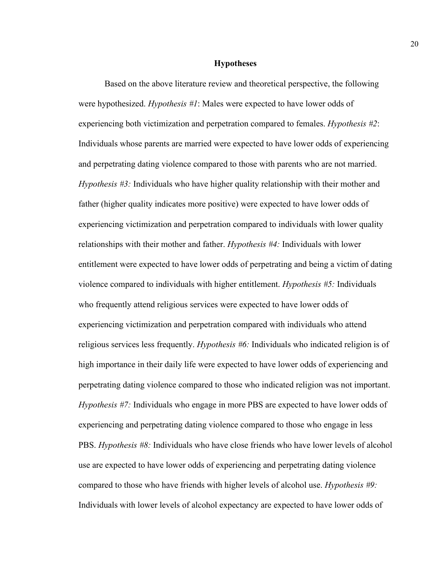#### **Hypotheses**

Based on the above literature review and theoretical perspective, the following were hypothesized. *Hypothesis #1*: Males were expected to have lower odds of experiencing both victimization and perpetration compared to females. *Hypothesis #2*: Individuals whose parents are married were expected to have lower odds of experiencing and perpetrating dating violence compared to those with parents who are not married. *Hypothesis #3:* Individuals who have higher quality relationship with their mother and father (higher quality indicates more positive) were expected to have lower odds of experiencing victimization and perpetration compared to individuals with lower quality relationships with their mother and father. *Hypothesis #4:* Individuals with lower entitlement were expected to have lower odds of perpetrating and being a victim of dating violence compared to individuals with higher entitlement. *Hypothesis #5:* Individuals who frequently attend religious services were expected to have lower odds of experiencing victimization and perpetration compared with individuals who attend religious services less frequently. *Hypothesis #6:* Individuals who indicated religion is of high importance in their daily life were expected to have lower odds of experiencing and perpetrating dating violence compared to those who indicated religion was not important. *Hypothesis #7:* Individuals who engage in more PBS are expected to have lower odds of experiencing and perpetrating dating violence compared to those who engage in less PBS. *Hypothesis #8:* Individuals who have close friends who have lower levels of alcohol use are expected to have lower odds of experiencing and perpetrating dating violence compared to those who have friends with higher levels of alcohol use. *Hypothesis #9:* Individuals with lower levels of alcohol expectancy are expected to have lower odds of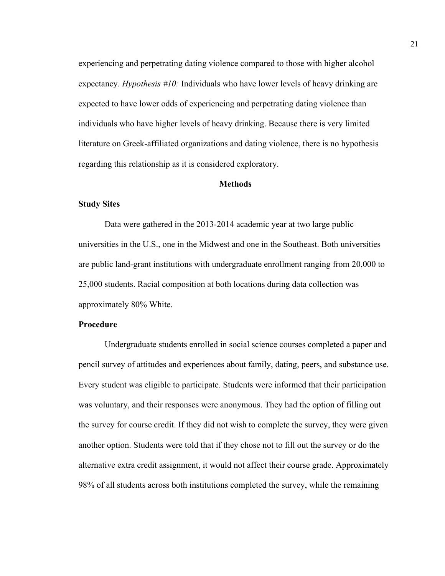experiencing and perpetrating dating violence compared to those with higher alcohol expectancy. *Hypothesis #10:* Individuals who have lower levels of heavy drinking are expected to have lower odds of experiencing and perpetrating dating violence than individuals who have higher levels of heavy drinking. Because there is very limited literature on Greek-affiliated organizations and dating violence, there is no hypothesis regarding this relationship as it is considered exploratory.

#### **Methods**

#### **Study Sites**

Data were gathered in the 2013-2014 academic year at two large public universities in the U.S., one in the Midwest and one in the Southeast. Both universities are public land-grant institutions with undergraduate enrollment ranging from 20,000 to 25,000 students. Racial composition at both locations during data collection was approximately 80% White.

# **Procedure**

Undergraduate students enrolled in social science courses completed a paper and pencil survey of attitudes and experiences about family, dating, peers, and substance use. Every student was eligible to participate. Students were informed that their participation was voluntary, and their responses were anonymous. They had the option of filling out the survey for course credit. If they did not wish to complete the survey, they were given another option. Students were told that if they chose not to fill out the survey or do the alternative extra credit assignment, it would not affect their course grade. Approximately 98% of all students across both institutions completed the survey, while the remaining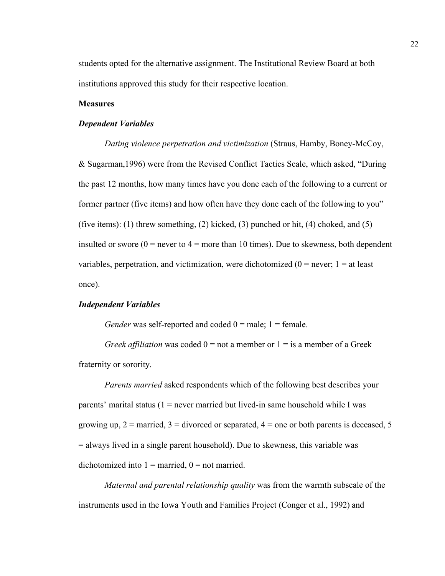students opted for the alternative assignment. The Institutional Review Board at both institutions approved this study for their respective location.

#### **Measures**

#### *Dependent Variables*

*Dating violence perpetration and victimization* (Straus, Hamby, Boney-McCoy, & Sugarman,1996) were from the Revised Conflict Tactics Scale, which asked, "During the past 12 months, how many times have you done each of the following to a current or former partner (five items) and how often have they done each of the following to you" (five items): (1) threw something, (2) kicked, (3) punched or hit, (4) choked, and (5) insulted or swore  $(0 =$  never to  $4 =$  more than 10 times). Due to skewness, both dependent variables, perpetration, and victimization, were dichotomized  $(0 = never; 1 = at least$ once).

#### *Independent Variables*

*Gender* was self-reported and coded  $0 =$  male;  $1 =$  female.

*Greek affiliation* was coded  $0 =$  not a member or  $1 =$  is a member of a Greek fraternity or sorority.

*Parents married* asked respondents which of the following best describes your parents' marital status  $(1 =$  never married but lived-in same household while I was growing up,  $2 =$  married,  $3 =$  divorced or separated,  $4 =$  one or both parents is deceased, 5 = always lived in a single parent household). Due to skewness, this variable was dichotomized into  $1 =$  married,  $0 =$  not married.

*Maternal and parental relationship quality* was from the warmth subscale of the instruments used in the Iowa Youth and Families Project (Conger et al., 1992) and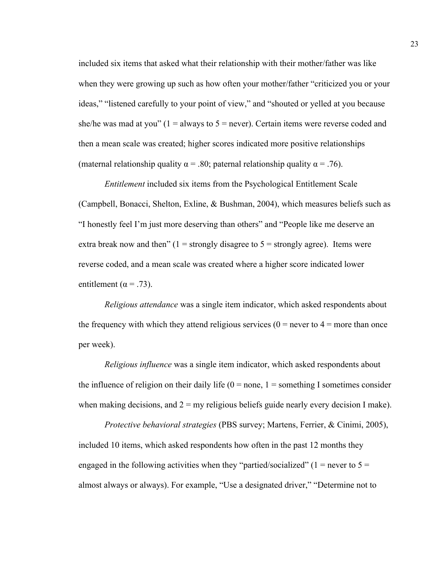included six items that asked what their relationship with their mother/father was like when they were growing up such as how often your mother/father "criticized you or your ideas," "listened carefully to your point of view," and "shouted or yelled at you because she/he was mad at you" ( $1 =$  always to  $5 =$  never). Certain items were reverse coded and then a mean scale was created; higher scores indicated more positive relationships (maternal relationship quality  $\alpha = .80$ ; paternal relationship quality  $\alpha = .76$ ).

*Entitlement* included six items from the Psychological Entitlement Scale (Campbell, Bonacci, Shelton, Exline, & Bushman, 2004), which measures beliefs such as "I honestly feel I'm just more deserving than others" and "People like me deserve an extra break now and then"  $(1 =$  strongly disagree to  $5 =$  strongly agree). Items were reverse coded, and a mean scale was created where a higher score indicated lower entitlement ( $\alpha$  = .73).

*Religious attendance* was a single item indicator, which asked respondents about the frequency with which they attend religious services ( $0 =$  never to  $4 =$  more than once per week).

*Religious influence* was a single item indicator, which asked respondents about the influence of religion on their daily life  $(0 = none, 1 = something I sometimes consider)$ when making decisions, and  $2 = \text{my religious beliefs guide nearly every decision I make}$ .

*Protective behavioral strategies* (PBS survey; Martens, Ferrier, & Cinimi, 2005), included 10 items, which asked respondents how often in the past 12 months they engaged in the following activities when they "partied/socialized" ( $1 =$  never to  $5 =$ almost always or always). For example, "Use a designated driver," "Determine not to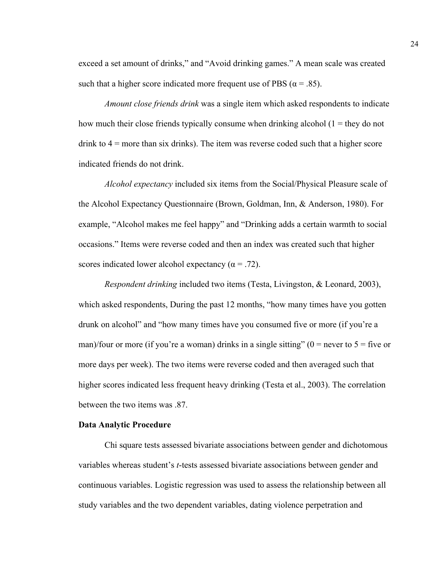exceed a set amount of drinks," and "Avoid drinking games." A mean scale was created such that a higher score indicated more frequent use of PBS ( $\alpha = .85$ ).

*Amount close friends drink* was a single item which asked respondents to indicate how much their close friends typically consume when drinking alcohol  $(1 =$  they do not drink to  $4 =$  more than six drinks). The item was reverse coded such that a higher score indicated friends do not drink.

*Alcohol expectancy* included six items from the Social/Physical Pleasure scale of the Alcohol Expectancy Questionnaire (Brown, Goldman, Inn, & Anderson, 1980). For example, "Alcohol makes me feel happy" and "Drinking adds a certain warmth to social occasions." Items were reverse coded and then an index was created such that higher scores indicated lower alcohol expectancy ( $\alpha$  = .72).

*Respondent drinking* included two items (Testa, Livingston, & Leonard, 2003), which asked respondents, During the past 12 months, "how many times have you gotten drunk on alcohol" and "how many times have you consumed five or more (if you're a man)/four or more (if you're a woman) drinks in a single sitting" ( $0 =$  never to  $5 =$  five or more days per week). The two items were reverse coded and then averaged such that higher scores indicated less frequent heavy drinking (Testa et al., 2003). The correlation between the two items was .87.

#### **Data Analytic Procedure**

Chi square tests assessed bivariate associations between gender and dichotomous variables whereas student's *t*-tests assessed bivariate associations between gender and continuous variables. Logistic regression was used to assess the relationship between all study variables and the two dependent variables, dating violence perpetration and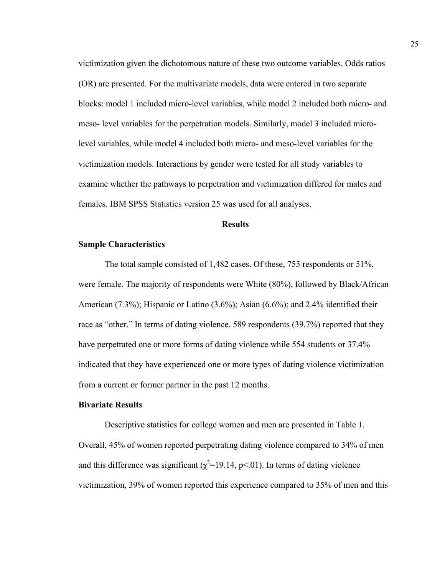victimization given the dichotomous nature of these two outcome variables. Odds ratios (OR) are presented. For the multivariate models, data were entered in two separate blocks: model 1 included micro-level variables, while model 2 included both micro- and meso- level variables for the perpetration models. Similarly, model 3 included microlevel variables, while model 4 included both micro- and meso-level variables for the victimization models. Interactions by gender were tested for all study variables to examine whether the pathways to perpetration and victimization differed for males and females. IBM SPSS Statistics version 25 was used for all analyses.

#### **Results**

#### **Sample Characteristics**

The total sample consisted of 1,482 cases. Of these, 755 respondents or 51%, were female. The majority of respondents were White (80%), followed by Black/African American (7.3%); Hispanic or Latino (3.6%); Asian (6.6%); and 2.4% identified their race as "other." In terms of dating violence, 589 respondents (39.7%) reported that they have perpetrated one or more forms of dating violence while 554 students or 37.4% indicated that they have experienced one or more types of dating violence victimization from a current or former partner in the past 12 months.

#### **Bivariate Results**

Descriptive statistics for college women and men are presented in Table 1. Overall, 45% of women reported perpetrating dating violence compared to 34% of men and this difference was significant ( $\chi^2$ =19.14, p<.01). In terms of dating violence victimization, 39% of women reported this experience compared to 35% of men and this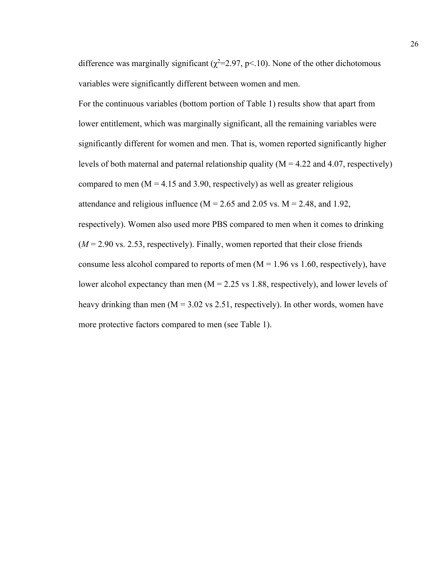difference was marginally significant ( $\chi^2$ =2.97, p<.10). None of the other dichotomous variables were significantly different between women and men.

For the continuous variables (bottom portion of Table 1) results show that apart from lower entitlement, which was marginally significant, all the remaining variables were significantly different for women and men. That is, women reported significantly higher levels of both maternal and paternal relationship quality  $(M = 4.22$  and 4.07, respectively) compared to men ( $M = 4.15$  and 3.90, respectively) as well as greater religious attendance and religious influence ( $M = 2.65$  and 2.05 vs.  $M = 2.48$ , and 1.92, respectively). Women also used more PBS compared to men when it comes to drinking  $(M = 2.90 \text{ vs. } 2.53$ , respectively). Finally, women reported that their close friends consume less alcohol compared to reports of men  $(M = 1.96 \text{ vs } 1.60, \text{ respectively})$ , have lower alcohol expectancy than men  $(M = 2.25 \text{ vs } 1.88, \text{ respectively})$ , and lower levels of heavy drinking than men ( $M = 3.02$  vs 2.51, respectively). In other words, women have more protective factors compared to men (see Table 1).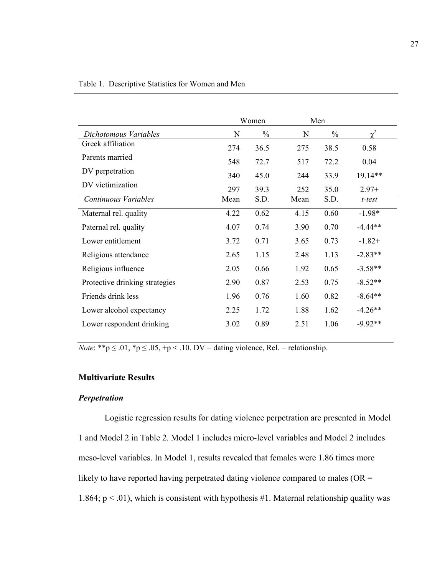| $\gamma^2$ |
|------------|
| 0.58       |
| 0.04       |
| 19.14**    |
| $2.97+$    |
| t-test     |
| $-1.98*$   |
| $-4.44**$  |
| $-1.82+$   |
| $-2.83**$  |
| $-3.58**$  |
| $-8.52**$  |
| $-8.64**$  |
| $-4.26**$  |
| $-9.92**$  |
|            |

*Note*: \*\*p  $\leq$  .01, \*p  $\leq$  .05, +p < .10. DV = dating violence, Rel. = relationship.

# **Multivariate Results**

# *Perpetration*

Logistic regression results for dating violence perpetration are presented in Model 1 and Model 2 in Table 2. Model 1 includes micro-level variables and Model 2 includes meso-level variables. In Model 1, results revealed that females were 1.86 times more likely to have reported having perpetrated dating violence compared to males ( $OR =$ 1.864;  $p < .01$ ), which is consistent with hypothesis #1. Maternal relationship quality was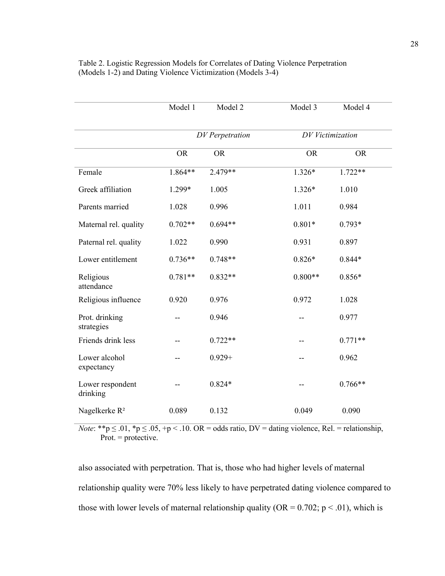|                              | Model 1   | Model 2         | Model 3          | Model 4   |  |
|------------------------------|-----------|-----------------|------------------|-----------|--|
|                              |           | DV Perpetration | DV Victimization |           |  |
|                              | <b>OR</b> | <b>OR</b>       | <b>OR</b>        | <b>OR</b> |  |
| Female                       | $1.864**$ | $2.479**$       | $1.326*$         | $1.722**$ |  |
| Greek affiliation            | 1.299*    | 1.005           | 1.326*           | 1.010     |  |
| Parents married              | 1.028     | 0.996           | 1.011            | 0.984     |  |
| Maternal rel. quality        | $0.702**$ | $0.694**$       | $0.801*$         | $0.793*$  |  |
| Paternal rel. quality        | 1.022     | 0.990           | 0.931            | 0.897     |  |
| Lower entitlement            | $0.736**$ | $0.748**$       | $0.826*$         | $0.844*$  |  |
| Religious<br>attendance      | $0.781**$ | $0.832**$       | $0.800**$        | $0.856*$  |  |
| Religious influence          | 0.920     | 0.976           | 0.972            | 1.028     |  |
| Prot. drinking<br>strategies |           | 0.946           |                  | 0.977     |  |
| Friends drink less           |           | $0.722**$       |                  | $0.771**$ |  |
| Lower alcohol<br>expectancy  |           | $0.929 +$       | --               | 0.962     |  |
| Lower respondent<br>drinking |           | $0.824*$        |                  | $0.766**$ |  |
| Nagelkerke R <sup>2</sup>    | 0.089     | 0.132           | 0.049            | 0.090     |  |

Table 2. Logistic Regression Models for Correlates of Dating Violence Perpetration (Models 1-2) and Dating Violence Victimization (Models 3-4)

*Note*: \*\*p  $\leq .01$ , \*p  $\leq .05$ , +p  $\leq .10$ . OR = odds ratio, DV = dating violence, Rel. = relationship, Prot.  $=$  protective.

also associated with perpetration. That is, those who had higher levels of maternal relationship quality were 70% less likely to have perpetrated dating violence compared to those with lower levels of maternal relationship quality ( $OR = 0.702$ ;  $p < .01$ ), which is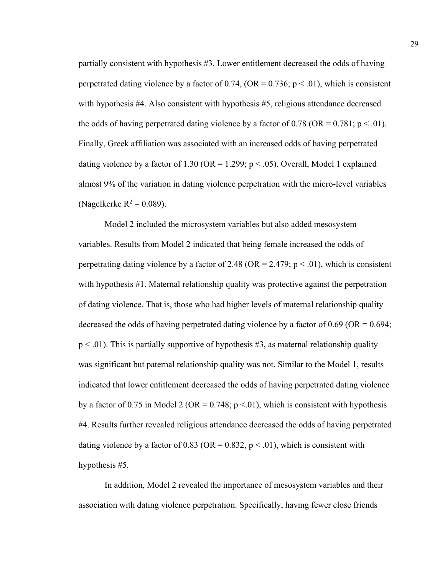partially consistent with hypothesis #3. Lower entitlement decreased the odds of having perpetrated dating violence by a factor of 0.74, (OR =  $0.736$ ; p < .01), which is consistent with hypothesis #4. Also consistent with hypothesis #5, religious attendance decreased the odds of having perpetrated dating violence by a factor of 0.78 (OR =  $0.781$ ; p < .01). Finally, Greek affiliation was associated with an increased odds of having perpetrated dating violence by a factor of 1.30 (OR = 1.299;  $p < .05$ ). Overall, Model 1 explained almost 9% of the variation in dating violence perpetration with the micro-level variables (Nagelkerke  $R^2 = 0.089$ ).

Model 2 included the microsystem variables but also added mesosystem variables. Results from Model 2 indicated that being female increased the odds of perpetrating dating violence by a factor of 2.48 (OR = 2.479;  $p < .01$ ), which is consistent with hypothesis #1. Maternal relationship quality was protective against the perpetration of dating violence. That is, those who had higher levels of maternal relationship quality decreased the odds of having perpetrated dating violence by a factor of 0.69 (OR =  $0.694$ ;  $p < .01$ ). This is partially supportive of hypothesis #3, as maternal relationship quality was significant but paternal relationship quality was not. Similar to the Model 1, results indicated that lower entitlement decreased the odds of having perpetrated dating violence by a factor of 0.75 in Model 2 (OR = 0.748;  $p \le 01$ ), which is consistent with hypothesis #4. Results further revealed religious attendance decreased the odds of having perpetrated dating violence by a factor of 0.83 (OR =  $0.832$ , p < .01), which is consistent with hypothesis #5.

In addition, Model 2 revealed the importance of mesosystem variables and their association with dating violence perpetration. Specifically, having fewer close friends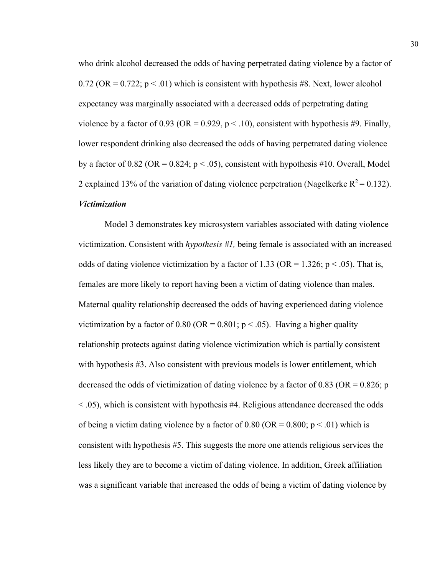who drink alcohol decreased the odds of having perpetrated dating violence by a factor of 0.72 (OR =  $0.722$ ; p < .01) which is consistent with hypothesis #8. Next, lower alcohol expectancy was marginally associated with a decreased odds of perpetrating dating violence by a factor of 0.93 (OR = 0.929,  $p < 0.10$ ), consistent with hypothesis #9. Finally, lower respondent drinking also decreased the odds of having perpetrated dating violence by a factor of 0.82 (OR = 0.824;  $p < .05$ ), consistent with hypothesis #10. Overall, Model 2 explained 13% of the variation of dating violence perpetration (Nagelkerke  $R^2 = 0.132$ ). *Victimization*

Model 3 demonstrates key microsystem variables associated with dating violence victimization. Consistent with *hypothesis #1,* being female is associated with an increased odds of dating violence victimization by a factor of 1.33 (OR = 1.326;  $p < .05$ ). That is, females are more likely to report having been a victim of dating violence than males. Maternal quality relationship decreased the odds of having experienced dating violence victimization by a factor of 0.80 (OR =  $0.801$ ; p < .05). Having a higher quality relationship protects against dating violence victimization which is partially consistent with hypothesis #3. Also consistent with previous models is lower entitlement, which decreased the odds of victimization of dating violence by a factor of 0.83 (OR =  $0.826$ ; p < .05), which is consistent with hypothesis #4. Religious attendance decreased the odds of being a victim dating violence by a factor of  $0.80$  (OR =  $0.800$ ; p < .01) which is consistent with hypothesis #5. This suggests the more one attends religious services the less likely they are to become a victim of dating violence. In addition, Greek affiliation was a significant variable that increased the odds of being a victim of dating violence by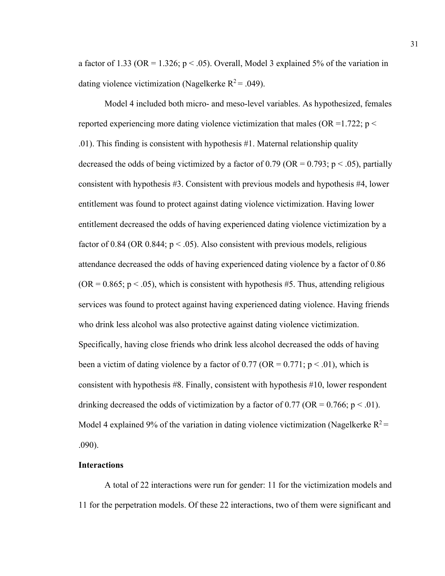a factor of 1.33 (OR = 1.326;  $p < .05$ ). Overall, Model 3 explained 5% of the variation in dating violence victimization (Nagelkerke  $R^2 = .049$ ).

Model 4 included both micro- and meso-level variables. As hypothesized, females reported experiencing more dating violence victimization that males (OR = 1.722;  $p <$ .01). This finding is consistent with hypothesis #1. Maternal relationship quality decreased the odds of being victimized by a factor of 0.79 (OR =  $0.793$ ; p < .05), partially consistent with hypothesis #3. Consistent with previous models and hypothesis #4, lower entitlement was found to protect against dating violence victimization. Having lower entitlement decreased the odds of having experienced dating violence victimization by a factor of 0.84 (OR 0.844;  $p < .05$ ). Also consistent with previous models, religious attendance decreased the odds of having experienced dating violence by a factor of 0.86  $(OR = 0.865; p < .05)$ , which is consistent with hypothesis #5. Thus, attending religious services was found to protect against having experienced dating violence. Having friends who drink less alcohol was also protective against dating violence victimization. Specifically, having close friends who drink less alcohol decreased the odds of having been a victim of dating violence by a factor of 0.77 (OR =  $0.771$ ; p  $\leq 0.01$ ), which is consistent with hypothesis #8. Finally, consistent with hypothesis #10, lower respondent drinking decreased the odds of victimization by a factor of  $0.77$  (OR =  $0.766$ ; p < .01). Model 4 explained 9% of the variation in dating violence victimization (Nagelkerke  $R^2$  = .090).

# **Interactions**

A total of 22 interactions were run for gender: 11 for the victimization models and 11 for the perpetration models. Of these 22 interactions, two of them were significant and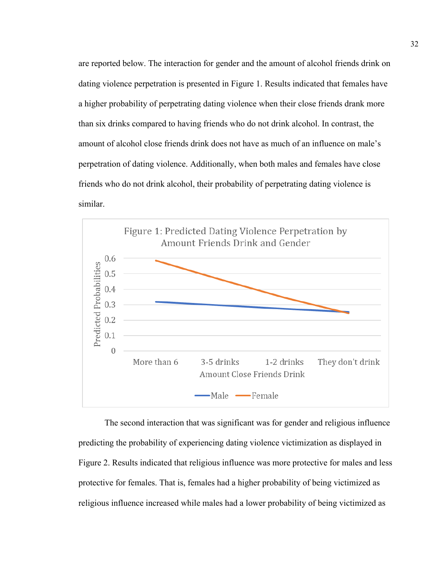are reported below. The interaction for gender and the amount of alcohol friends drink on dating violence perpetration is presented in Figure 1. Results indicated that females have a higher probability of perpetrating dating violence when their close friends drank more than six drinks compared to having friends who do not drink alcohol. In contrast, the amount of alcohol close friends drink does not have as much of an influence on male's perpetration of dating violence. Additionally, when both males and females have close friends who do not drink alcohol, their probability of perpetrating dating violence is similar.



The second interaction that was significant was for gender and religious influence predicting the probability of experiencing dating violence victimization as displayed in Figure 2. Results indicated that religious influence was more protective for males and less protective for females. That is, females had a higher probability of being victimized as religious influence increased while males had a lower probability of being victimized as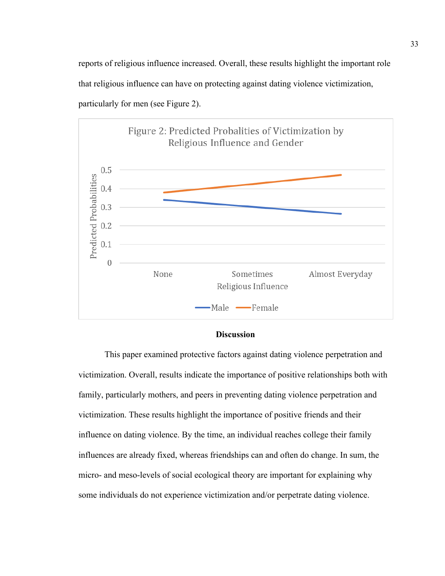reports of religious influence increased. Overall, these results highlight the important role that religious influence can have on protecting against dating violence victimization, particularly for men (see Figure 2).



#### **Discussion**

This paper examined protective factors against dating violence perpetration and victimization. Overall, results indicate the importance of positive relationships both with family, particularly mothers, and peers in preventing dating violence perpetration and victimization. These results highlight the importance of positive friends and their influence on dating violence. By the time, an individual reaches college their family influences are already fixed, whereas friendships can and often do change. In sum, the micro- and meso-levels of social ecological theory are important for explaining why some individuals do not experience victimization and/or perpetrate dating violence.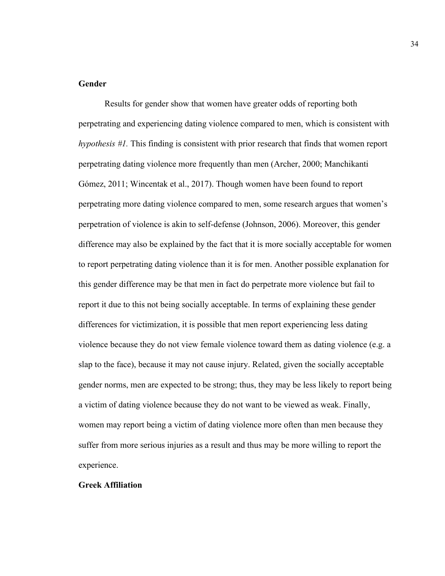# **Gender**

Results for gender show that women have greater odds of reporting both perpetrating and experiencing dating violence compared to men, which is consistent with *hypothesis #1.* This finding is consistent with prior research that finds that women report perpetrating dating violence more frequently than men (Archer, 2000; Manchikanti Gómez, 2011; Wincentak et al., 2017). Though women have been found to report perpetrating more dating violence compared to men, some research argues that women's perpetration of violence is akin to self-defense (Johnson, 2006). Moreover, this gender difference may also be explained by the fact that it is more socially acceptable for women to report perpetrating dating violence than it is for men. Another possible explanation for this gender difference may be that men in fact do perpetrate more violence but fail to report it due to this not being socially acceptable. In terms of explaining these gender differences for victimization, it is possible that men report experiencing less dating violence because they do not view female violence toward them as dating violence (e.g. a slap to the face), because it may not cause injury. Related, given the socially acceptable gender norms, men are expected to be strong; thus, they may be less likely to report being a victim of dating violence because they do not want to be viewed as weak. Finally, women may report being a victim of dating violence more often than men because they suffer from more serious injuries as a result and thus may be more willing to report the experience.

# **Greek Affiliation**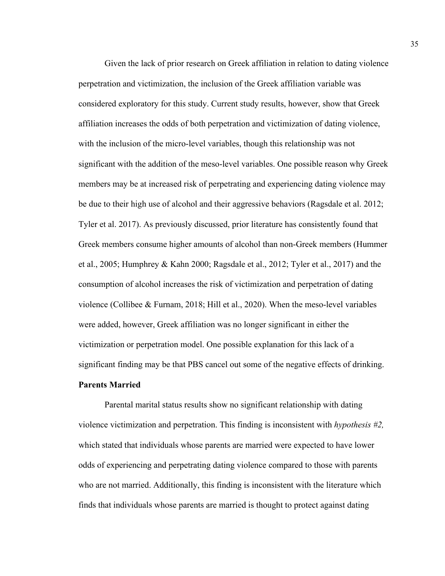Given the lack of prior research on Greek affiliation in relation to dating violence perpetration and victimization, the inclusion of the Greek affiliation variable was considered exploratory for this study. Current study results, however, show that Greek affiliation increases the odds of both perpetration and victimization of dating violence, with the inclusion of the micro-level variables, though this relationship was not significant with the addition of the meso-level variables. One possible reason why Greek members may be at increased risk of perpetrating and experiencing dating violence may be due to their high use of alcohol and their aggressive behaviors (Ragsdale et al. 2012; Tyler et al. 2017). As previously discussed, prior literature has consistently found that Greek members consume higher amounts of alcohol than non-Greek members (Hummer et al., 2005; Humphrey & Kahn 2000; Ragsdale et al., 2012; Tyler et al., 2017) and the consumption of alcohol increases the risk of victimization and perpetration of dating violence (Collibee & Furnam, 2018; Hill et al., 2020). When the meso-level variables were added, however, Greek affiliation was no longer significant in either the victimization or perpetration model. One possible explanation for this lack of a significant finding may be that PBS cancel out some of the negative effects of drinking. **Parents Married** 

Parental marital status results show no significant relationship with dating violence victimization and perpetration. This finding is inconsistent with *hypothesis #2,*  which stated that individuals whose parents are married were expected to have lower odds of experiencing and perpetrating dating violence compared to those with parents who are not married. Additionally, this finding is inconsistent with the literature which finds that individuals whose parents are married is thought to protect against dating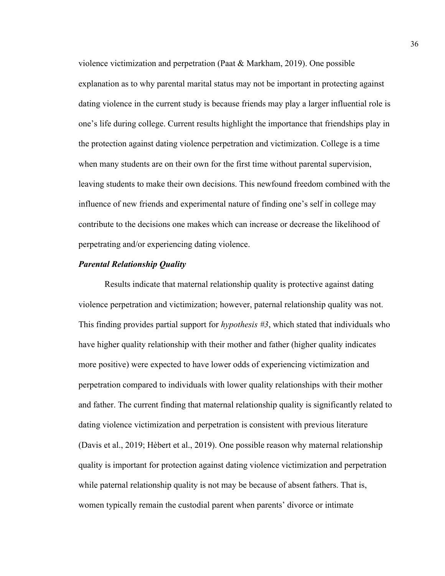violence victimization and perpetration (Paat & Markham, 2019). One possible explanation as to why parental marital status may not be important in protecting against dating violence in the current study is because friends may play a larger influential role is one's life during college. Current results highlight the importance that friendships play in the protection against dating violence perpetration and victimization. College is a time when many students are on their own for the first time without parental supervision, leaving students to make their own decisions. This newfound freedom combined with the influence of new friends and experimental nature of finding one's self in college may contribute to the decisions one makes which can increase or decrease the likelihood of perpetrating and/or experiencing dating violence.

# *Parental Relationship Quality*

Results indicate that maternal relationship quality is protective against dating violence perpetration and victimization; however, paternal relationship quality was not. This finding provides partial support for *hypothesis #3*, which stated that individuals who have higher quality relationship with their mother and father (higher quality indicates more positive) were expected to have lower odds of experiencing victimization and perpetration compared to individuals with lower quality relationships with their mother and father. The current finding that maternal relationship quality is significantly related to dating violence victimization and perpetration is consistent with previous literature (Davis et al., 2019; Hèbert et al., 2019). One possible reason why maternal relationship quality is important for protection against dating violence victimization and perpetration while paternal relationship quality is not may be because of absent fathers. That is, women typically remain the custodial parent when parents' divorce or intimate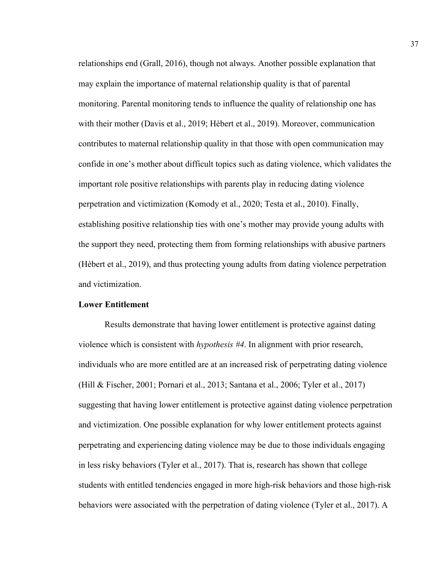relationships end (Grall, 2016), though not always. Another possible explanation that may explain the importance of maternal relationship quality is that of parental monitoring. Parental monitoring tends to influence the quality of relationship one has with their mother (Davis et al., 2019; Hèbert et al., 2019). Moreover, communication contributes to maternal relationship quality in that those with open communication may confide in one's mother about difficult topics such as dating violence, which validates the important role positive relationships with parents play in reducing dating violence perpetration and victimization (Komody et al., 2020; Testa et al., 2010). Finally, establishing positive relationship ties with one's mother may provide young adults with the support they need, protecting them from forming relationships with abusive partners (Hèbert et al., 2019), and thus protecting young adults from dating violence perpetration and victimization.

#### **Lower Entitlement**

Results demonstrate that having lower entitlement is protective against dating violence which is consistent with *hypothesis #4*. In alignment with prior research, individuals who are more entitled are at an increased risk of perpetrating dating violence (Hill & Fischer, 2001; Pornari et al., 2013; Santana et al., 2006; Tyler et al., 2017) suggesting that having lower entitlement is protective against dating violence perpetration and victimization. One possible explanation for why lower entitlement protects against perpetrating and experiencing dating violence may be due to those individuals engaging in less risky behaviors (Tyler et al., 2017). That is, research has shown that college students with entitled tendencies engaged in more high-risk behaviors and those high-risk behaviors were associated with the perpetration of dating violence (Tyler et al., 2017). A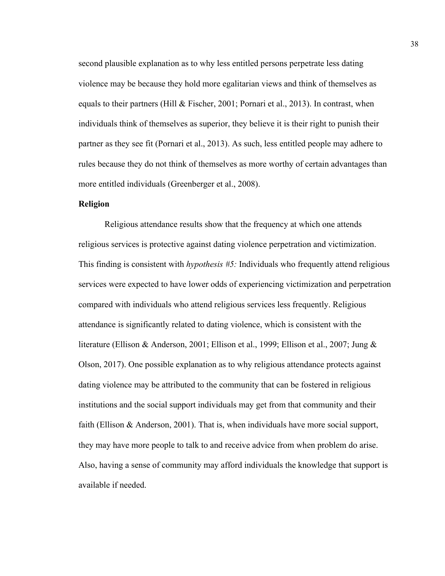second plausible explanation as to why less entitled persons perpetrate less dating violence may be because they hold more egalitarian views and think of themselves as equals to their partners (Hill & Fischer, 2001; Pornari et al., 2013). In contrast, when individuals think of themselves as superior, they believe it is their right to punish their partner as they see fit (Pornari et al., 2013). As such, less entitled people may adhere to rules because they do not think of themselves as more worthy of certain advantages than more entitled individuals (Greenberger et al., 2008).

# **Religion**

Religious attendance results show that the frequency at which one attends religious services is protective against dating violence perpetration and victimization. This finding is consistent with *hypothesis #5:* Individuals who frequently attend religious services were expected to have lower odds of experiencing victimization and perpetration compared with individuals who attend religious services less frequently. Religious attendance is significantly related to dating violence, which is consistent with the literature (Ellison & Anderson, 2001; Ellison et al., 1999; Ellison et al., 2007; Jung & Olson, 2017). One possible explanation as to why religious attendance protects against dating violence may be attributed to the community that can be fostered in religious institutions and the social support individuals may get from that community and their faith (Ellison & Anderson, 2001). That is, when individuals have more social support, they may have more people to talk to and receive advice from when problem do arise. Also, having a sense of community may afford individuals the knowledge that support is available if needed.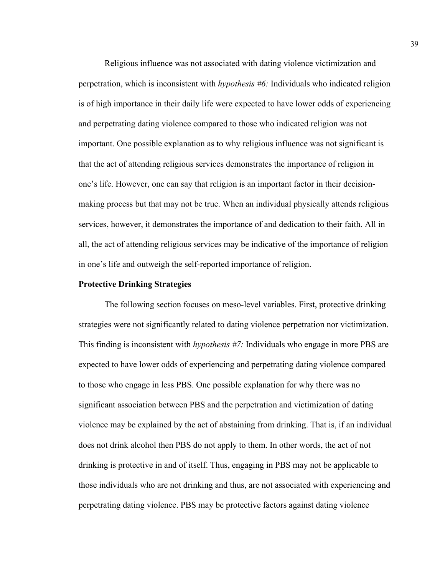Religious influence was not associated with dating violence victimization and perpetration, which is inconsistent with *hypothesis #6:* Individuals who indicated religion is of high importance in their daily life were expected to have lower odds of experiencing and perpetrating dating violence compared to those who indicated religion was not important. One possible explanation as to why religious influence was not significant is that the act of attending religious services demonstrates the importance of religion in one's life. However, one can say that religion is an important factor in their decisionmaking process but that may not be true. When an individual physically attends religious services, however, it demonstrates the importance of and dedication to their faith. All in all, the act of attending religious services may be indicative of the importance of religion in one's life and outweigh the self-reported importance of religion.

#### **Protective Drinking Strategies**

The following section focuses on meso-level variables. First, protective drinking strategies were not significantly related to dating violence perpetration nor victimization. This finding is inconsistent with *hypothesis #7:* Individuals who engage in more PBS are expected to have lower odds of experiencing and perpetrating dating violence compared to those who engage in less PBS. One possible explanation for why there was no significant association between PBS and the perpetration and victimization of dating violence may be explained by the act of abstaining from drinking. That is, if an individual does not drink alcohol then PBS do not apply to them. In other words, the act of not drinking is protective in and of itself. Thus, engaging in PBS may not be applicable to those individuals who are not drinking and thus, are not associated with experiencing and perpetrating dating violence. PBS may be protective factors against dating violence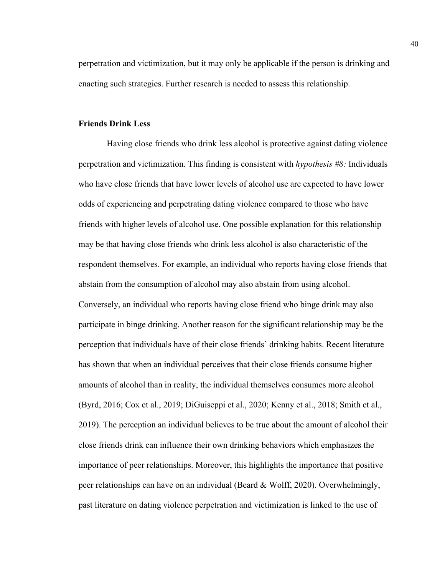perpetration and victimization, but it may only be applicable if the person is drinking and enacting such strategies. Further research is needed to assess this relationship.

#### **Friends Drink Less**

Having close friends who drink less alcohol is protective against dating violence perpetration and victimization. This finding is consistent with *hypothesis #8:* Individuals who have close friends that have lower levels of alcohol use are expected to have lower odds of experiencing and perpetrating dating violence compared to those who have friends with higher levels of alcohol use. One possible explanation for this relationship may be that having close friends who drink less alcohol is also characteristic of the respondent themselves. For example, an individual who reports having close friends that abstain from the consumption of alcohol may also abstain from using alcohol. Conversely, an individual who reports having close friend who binge drink may also participate in binge drinking. Another reason for the significant relationship may be the perception that individuals have of their close friends' drinking habits. Recent literature has shown that when an individual perceives that their close friends consume higher amounts of alcohol than in reality, the individual themselves consumes more alcohol (Byrd, 2016; Cox et al., 2019; DiGuiseppi et al., 2020; Kenny et al., 2018; Smith et al., 2019). The perception an individual believes to be true about the amount of alcohol their close friends drink can influence their own drinking behaviors which emphasizes the importance of peer relationships. Moreover, this highlights the importance that positive peer relationships can have on an individual (Beard & Wolff, 2020). Overwhelmingly, past literature on dating violence perpetration and victimization is linked to the use of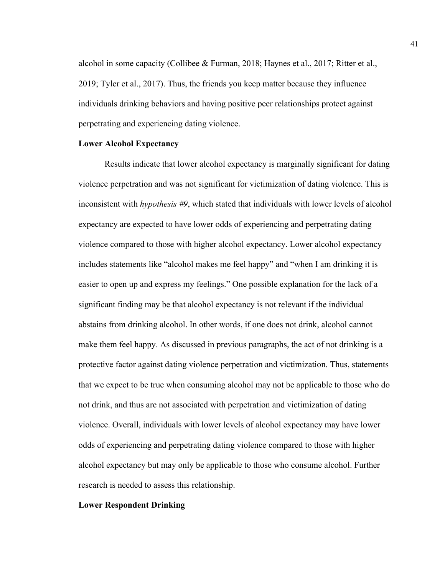alcohol in some capacity (Collibee & Furman, 2018; Haynes et al., 2017; Ritter et al., 2019; Tyler et al., 2017). Thus, the friends you keep matter because they influence individuals drinking behaviors and having positive peer relationships protect against perpetrating and experiencing dating violence.

#### **Lower Alcohol Expectancy**

Results indicate that lower alcohol expectancy is marginally significant for dating violence perpetration and was not significant for victimization of dating violence. This is inconsistent with *hypothesis #9*, which stated that individuals with lower levels of alcohol expectancy are expected to have lower odds of experiencing and perpetrating dating violence compared to those with higher alcohol expectancy. Lower alcohol expectancy includes statements like "alcohol makes me feel happy" and "when I am drinking it is easier to open up and express my feelings." One possible explanation for the lack of a significant finding may be that alcohol expectancy is not relevant if the individual abstains from drinking alcohol. In other words, if one does not drink, alcohol cannot make them feel happy. As discussed in previous paragraphs, the act of not drinking is a protective factor against dating violence perpetration and victimization. Thus, statements that we expect to be true when consuming alcohol may not be applicable to those who do not drink, and thus are not associated with perpetration and victimization of dating violence. Overall, individuals with lower levels of alcohol expectancy may have lower odds of experiencing and perpetrating dating violence compared to those with higher alcohol expectancy but may only be applicable to those who consume alcohol. Further research is needed to assess this relationship.

# **Lower Respondent Drinking**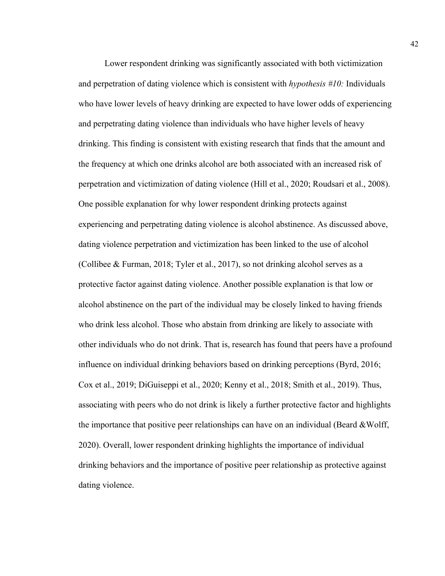Lower respondent drinking was significantly associated with both victimization and perpetration of dating violence which is consistent with *hypothesis #10:* Individuals who have lower levels of heavy drinking are expected to have lower odds of experiencing and perpetrating dating violence than individuals who have higher levels of heavy drinking. This finding is consistent with existing research that finds that the amount and the frequency at which one drinks alcohol are both associated with an increased risk of perpetration and victimization of dating violence (Hill et al., 2020; Roudsari et al., 2008). One possible explanation for why lower respondent drinking protects against experiencing and perpetrating dating violence is alcohol abstinence. As discussed above, dating violence perpetration and victimization has been linked to the use of alcohol (Collibee & Furman, 2018; Tyler et al., 2017), so not drinking alcohol serves as a protective factor against dating violence. Another possible explanation is that low or alcohol abstinence on the part of the individual may be closely linked to having friends who drink less alcohol. Those who abstain from drinking are likely to associate with other individuals who do not drink. That is, research has found that peers have a profound influence on individual drinking behaviors based on drinking perceptions (Byrd, 2016; Cox et al., 2019; DiGuiseppi et al., 2020; Kenny et al., 2018; Smith et al., 2019). Thus, associating with peers who do not drink is likely a further protective factor and highlights the importance that positive peer relationships can have on an individual (Beard &Wolff, 2020). Overall, lower respondent drinking highlights the importance of individual drinking behaviors and the importance of positive peer relationship as protective against dating violence.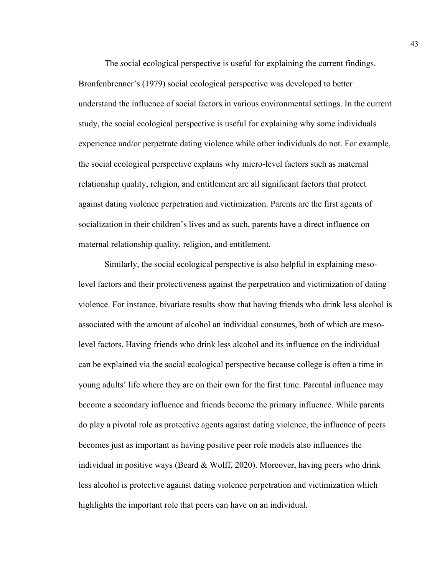The *s*ocial ecological perspective is useful for explaining the current findings. Bronfenbrenner's (1979) social ecological perspective was developed to better understand the influence of social factors in various environmental settings. In the current study, the social ecological perspective is useful for explaining why some individuals experience and/or perpetrate dating violence while other individuals do not. For example, the social ecological perspective explains why micro-level factors such as maternal relationship quality, religion, and entitlement are all significant factors that protect against dating violence perpetration and victimization. Parents are the first agents of socialization in their children's lives and as such, parents have a direct influence on maternal relationship quality, religion, and entitlement.

Similarly, the social ecological perspective is also helpful in explaining mesolevel factors and their protectiveness against the perpetration and victimization of dating violence. For instance, bivariate results show that having friends who drink less alcohol is associated with the amount of alcohol an individual consumes, both of which are mesolevel factors. Having friends who drink less alcohol and its influence on the individual can be explained via the social ecological perspective because college is often a time in young adults' life where they are on their own for the first time. Parental influence may become a secondary influence and friends become the primary influence. While parents do play a pivotal role as protective agents against dating violence, the influence of peers becomes just as important as having positive peer role models also influences the individual in positive ways (Beard & Wolff, 2020). Moreover, having peers who drink less alcohol is protective against dating violence perpetration and victimization which highlights the important role that peers can have on an individual.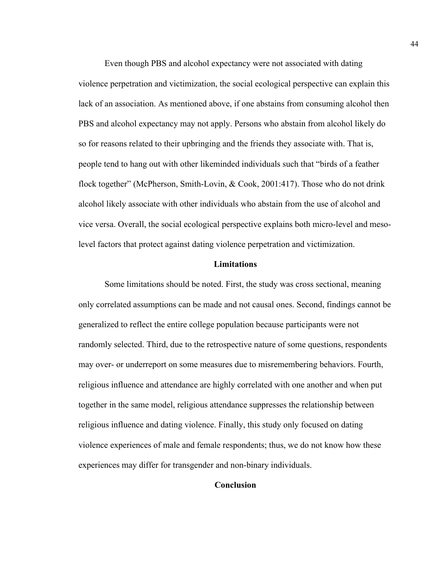Even though PBS and alcohol expectancy were not associated with dating violence perpetration and victimization, the social ecological perspective can explain this lack of an association. As mentioned above, if one abstains from consuming alcohol then PBS and alcohol expectancy may not apply. Persons who abstain from alcohol likely do so for reasons related to their upbringing and the friends they associate with. That is, people tend to hang out with other likeminded individuals such that "birds of a feather flock together" (McPherson, Smith-Lovin, & Cook, 2001:417). Those who do not drink alcohol likely associate with other individuals who abstain from the use of alcohol and vice versa. Overall, the social ecological perspective explains both micro-level and mesolevel factors that protect against dating violence perpetration and victimization.

# **Limitations**

Some limitations should be noted. First, the study was cross sectional, meaning only correlated assumptions can be made and not causal ones. Second, findings cannot be generalized to reflect the entire college population because participants were not randomly selected. Third, due to the retrospective nature of some questions, respondents may over- or underreport on some measures due to misremembering behaviors. Fourth, religious influence and attendance are highly correlated with one another and when put together in the same model, religious attendance suppresses the relationship between religious influence and dating violence. Finally, this study only focused on dating violence experiences of male and female respondents; thus, we do not know how these experiences may differ for transgender and non-binary individuals.

#### **Conclusion**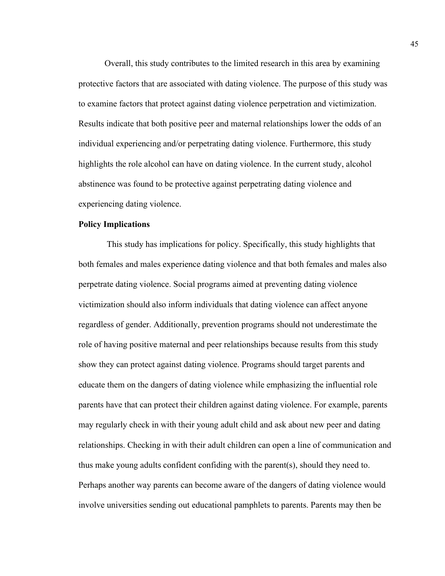Overall, this study contributes to the limited research in this area by examining protective factors that are associated with dating violence. The purpose of this study was to examine factors that protect against dating violence perpetration and victimization. Results indicate that both positive peer and maternal relationships lower the odds of an individual experiencing and/or perpetrating dating violence. Furthermore, this study highlights the role alcohol can have on dating violence. In the current study, alcohol abstinence was found to be protective against perpetrating dating violence and experiencing dating violence.

# **Policy Implications**

This study has implications for policy. Specifically, this study highlights that both females and males experience dating violence and that both females and males also perpetrate dating violence. Social programs aimed at preventing dating violence victimization should also inform individuals that dating violence can affect anyone regardless of gender. Additionally, prevention programs should not underestimate the role of having positive maternal and peer relationships because results from this study show they can protect against dating violence. Programs should target parents and educate them on the dangers of dating violence while emphasizing the influential role parents have that can protect their children against dating violence. For example, parents may regularly check in with their young adult child and ask about new peer and dating relationships. Checking in with their adult children can open a line of communication and thus make young adults confident confiding with the parent(s), should they need to. Perhaps another way parents can become aware of the dangers of dating violence would involve universities sending out educational pamphlets to parents. Parents may then be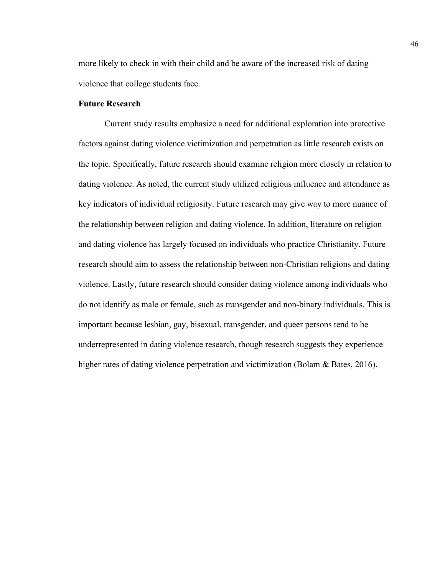more likely to check in with their child and be aware of the increased risk of dating violence that college students face.

#### **Future Research**

Current study results emphasize a need for additional exploration into protective factors against dating violence victimization and perpetration as little research exists on the topic. Specifically, future research should examine religion more closely in relation to dating violence. As noted, the current study utilized religious influence and attendance as key indicators of individual religiosity. Future research may give way to more nuance of the relationship between religion and dating violence. In addition, literature on religion and dating violence has largely focused on individuals who practice Christianity. Future research should aim to assess the relationship between non-Christian religions and dating violence. Lastly, future research should consider dating violence among individuals who do not identify as male or female, such as transgender and non-binary individuals. This is important because lesbian, gay, bisexual, transgender, and queer persons tend to be underrepresented in dating violence research, though research suggests they experience higher rates of dating violence perpetration and victimization (Bolam & Bates, 2016).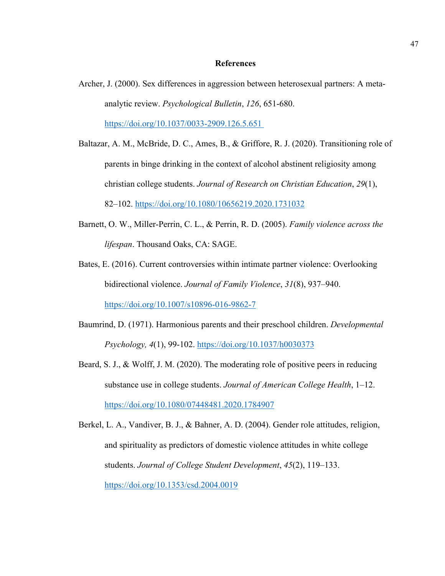#### **References**

- Archer, J. (2000). Sex differences in aggression between heterosexual partners: A metaanalytic review. *Psychological Bulletin*, *126*, 651-680. <https://doi.org/10.1037/0033-2909.126.5.651>
- Baltazar, A. M., McBride, D. C., Ames, B., & Griffore, R. J. (2020). Transitioning role of parents in binge drinking in the context of alcohol abstinent religiosity among christian college students. *Journal of Research on Christian Education*, *29*(1), 82–102.<https://doi.org/10.1080/10656219.2020.1731032>
- Barnett, O. W., Miller-Perrin, C. L., & Perrin, R. D. (2005). *Family violence across the lifespan*. Thousand Oaks, CA: SAGE.
- Bates, E. (2016). Current controversies within intimate partner violence: Overlooking bidirectional violence. *Journal of Family Violence*, *31*(8), 937–940. <https://doi.org/10.1007/s10896-016-9862-7>
- Baumrind, D. (1971). Harmonious parents and their preschool children. *Developmental Psychology, 4*(1), 99-102. [https://doi.org/10.1037/h0030373](https://doi.apa.org/doi/10.1037/h0030373)
- Beard, S. J., & Wolff, J. M. (2020). The moderating role of positive peers in reducing substance use in college students. *Journal of American College Health*, 1–12. <https://doi.org/10.1080/07448481.2020.1784907>
- Berkel, L. A., Vandiver, B. J., & Bahner, A. D. (2004). Gender role attitudes, religion, and spirituality as predictors of domestic violence attitudes in white college students. *Journal of College Student Development*, *45*(2), 119–133. <https://doi.org/10.1353/csd.2004.0019>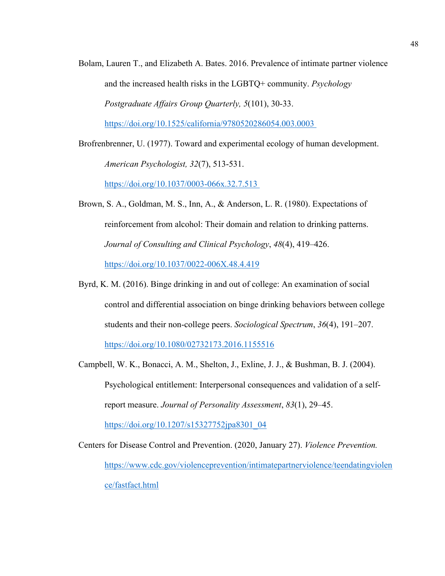- Bolam, Lauren T., and Elizabeth A. Bates. 2016. Prevalence of intimate partner violence and the increased health risks in the LGBTQ+ community. *Psychology Postgraduate Affairs Group Quarterly, 5*(101), 30-33. [https://doi.org/10.1525/california/9780520286054.003.0003](https://doi.org/10.1525/california/9780520286054.003.0003%C2%A0)
- Brofrenbrenner, U. (1977). Toward and experimental ecology of human development. *American Psychologist, 32*(7), 513-531.

[https://doi.org/10.1037/0003-066x.32.7.513](https://doi.org/10.1037/0003-066x.32.7.513%C2%A0)

- Brown, S. A., Goldman, M. S., Inn, A., & Anderson, L. R. (1980). Expectations of reinforcement from alcohol: Their domain and relation to drinking patterns. *Journal of Consulting and Clinical Psychology*, *48*(4), 419–426. <https://doi.org/10.1037/0022-006X.48.4.419>
- Byrd, K. M. (2016). Binge drinking in and out of college: An examination of social control and differential association on binge drinking behaviors between college students and their non-college peers. *Sociological Spectrum*, *36*(4), 191–207. <https://doi.org/10.1080/02732173.2016.1155516>
- Campbell, W. K., Bonacci, A. M., Shelton, J., Exline, J. J., & Bushman, B. J. (2004). Psychological entitlement: Interpersonal consequences and validation of a selfreport measure. *Journal of Personality Assessment*, *83*(1), 29–45.

[https://doi.org/10.1207/s15327752jpa8301\\_04](https://doi.org/10.1207/s15327752jpa8301_04)

Centers for Disease Control and Prevention. (2020, January 27). *Violence Prevention.* [https://www.cdc.gov/violenceprevention/intimatepartnerviolence/teendatingviolen](https://www.cdc.gov/violenceprevention/intimatepartnerviolence/teendatingviolence/fastfact.html) [ce/fastfact.html](https://www.cdc.gov/violenceprevention/intimatepartnerviolence/teendatingviolence/fastfact.html)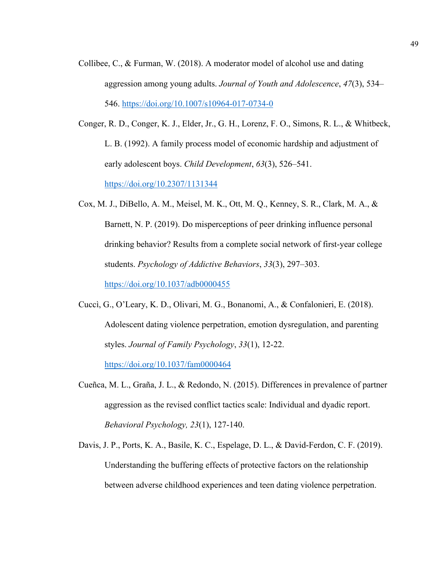- Collibee, C., & Furman, W. (2018). A moderator model of alcohol use and dating aggression among young adults. *Journal of Youth and Adolescence*, *47*(3), 534– 546.<https://doi.org/10.1007/s10964-017-0734-0>
- Conger, R. D., Conger, K. J., Elder, Jr., G. H., Lorenz, F. O., Simons, R. L., & Whitbeck, L. B. (1992). A family process model of economic hardship and adjustment of early adolescent boys. *Child Development*, *63*(3), 526–541. <https://doi.org/10.2307/1131344>
- Cox, M. J., DiBello, A. M., Meisel, M. K., Ott, M. Q., Kenney, S. R., Clark, M. A., & Barnett, N. P. (2019). Do misperceptions of peer drinking influence personal drinking behavior? Results from a complete social network of first-year college students. *Psychology of Addictive Behaviors*, *33*(3), 297–303. <https://doi.org/10.1037/adb0000455>
- Cuccì, G., O'Leary, K. D., Olivari, M. G., Bonanomi, A., & Confalonieri, E. (2018). Adolescent dating violence perpetration, emotion dysregulation, and parenting styles. *Journal of Family Psychology*, *33*(1), 12-22. <https://doi.org/10.1037/fam0000464>
- Cueñca, M. L., Graña, J. L., & Redondo, N. (2015). Differences in prevalence of partner aggression as the revised conflict tactics scale: Individual and dyadic report. *Behavioral Psychology, 23*(1), 127-140.
- Davis, J. P., Ports, K. A., Basile, K. C., Espelage, D. L., & David-Ferdon, C. F. (2019). Understanding the buffering effects of protective factors on the relationship between adverse childhood experiences and teen dating violence perpetration.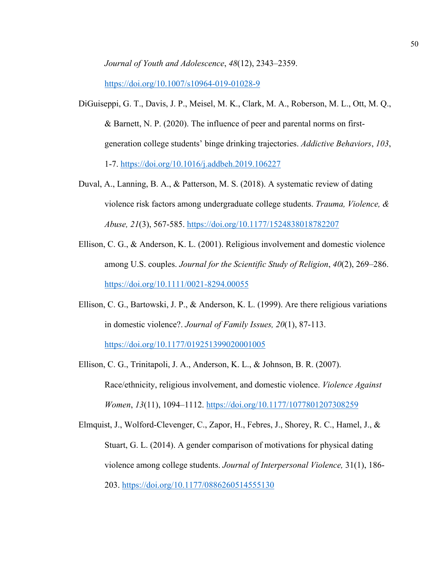*Journal of Youth and Adolescence*, *48*(12), 2343–2359.

<https://doi.org/10.1007/s10964-019-01028-9>

- DiGuiseppi, G. T., Davis, J. P., Meisel, M. K., Clark, M. A., Roberson, M. L., Ott, M. Q., & Barnett, N. P. (2020). The influence of peer and parental norms on firstgeneration college students' binge drinking trajectories. *Addictive Behaviors*, *103*, 1-7.<https://doi.org/10.1016/j.addbeh.2019.106227>
- Duval, A., Lanning, B. A., & Patterson, M. S. (2018). A systematic review of dating violence risk factors among undergraduate college students. *Trauma, Violence, & Abuse, 21*(3), 567-585.<https://doi.org/10.1177/1524838018782207>
- Ellison, C. G., & Anderson, K. L. (2001). Religious involvement and domestic violence among U.S. couples. *Journal for the Scientific Study of Religion*, *40*(2), 269–286. <https://doi.org/10.1111/0021-8294.00055>
- Ellison, C. G., Bartowski, J. P., & Anderson, K. L. (1999). Are there religious variations in domestic violence?. *Journal of Family Issues, 20*(1), 87-113. <https://doi.org/10.1177/019251399020001005>
- Ellison, C. G., Trinitapoli, J. A., Anderson, K. L., & Johnson, B. R. (2007). Race/ethnicity, religious involvement, and domestic violence. *Violence Against Women*, *13*(11), 1094–1112.<https://doi.org/10.1177/1077801207308259>
- Elmquist, J., Wolford-Clevenger, C., Zapor, H., Febres, J., Shorey, R. C., Hamel, J., & Stuart, G. L. (2014). A gender comparison of motivations for physical dating violence among college students. *Journal of Interpersonal Violence,* 31(1), 186- 203. <https://doi.org/10.1177/0886260514555130>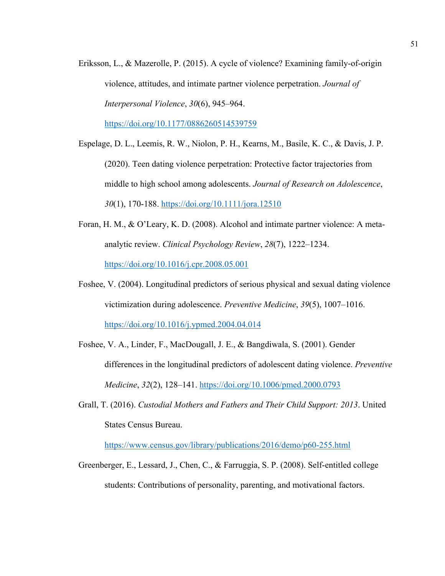Eriksson, L., & Mazerolle, P. (2015). A cycle of violence? Examining family-of-origin violence, attitudes, and intimate partner violence perpetration. *Journal of Interpersonal Violence*, *30*(6), 945–964.

<https://doi.org/10.1177/0886260514539759>

- Espelage, D. L., Leemis, R. W., Niolon, P. H., Kearns, M., Basile, K. C., & Davis, J. P. (2020). Teen dating violence perpetration: Protective factor trajectories from middle to high school among adolescents. *Journal of Research on Adolescence*, *30*(1), 170-188.<https://doi.org/10.1111/jora.12510>
- Foran, H. M., & O'Leary, K. D. (2008). Alcohol and intimate partner violence: A metaanalytic review. *Clinical Psychology Review*, *28*(7), 1222–1234. <https://doi.org/10.1016/j.cpr.2008.05.001>
- Foshee, V. (2004). Longitudinal predictors of serious physical and sexual dating violence victimization during adolescence. *Preventive Medicine*, *39*(5), 1007–1016. <https://doi.org/10.1016/j.ypmed.2004.04.014>
- Foshee, V. A., Linder, F., MacDougall, J. E., & Bangdiwala, S. (2001). Gender differences in the longitudinal predictors of adolescent dating violence. *Preventive Medicine*, *32*(2), 128–141.<https://doi.org/10.1006/pmed.2000.0793>
- Grall, T. (2016). *Custodial Mothers and Fathers and Their Child Support: 2013*. United States Census Bureau.

<https://www.census.gov/library/publications/2016/demo/p60-255.html>

Greenberger, E., Lessard, J., Chen, C., & Farruggia, S. P. (2008). Self-entitled college students: Contributions of personality, parenting, and motivational factors.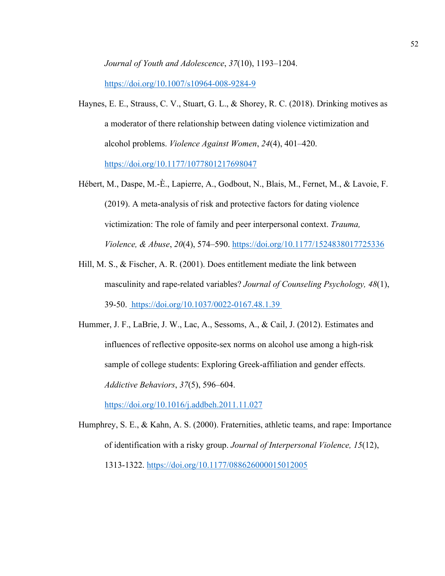*Journal of Youth and Adolescence*, *37*(10), 1193–1204.

<https://doi.org/10.1007/s10964-008-9284-9>

- Haynes, E. E., Strauss, C. V., Stuart, G. L., & Shorey, R. C. (2018). Drinking motives as a moderator of there relationship between dating violence victimization and alcohol problems. *Violence Against Women*, *24*(4), 401–420. <https://doi.org/10.1177/1077801217698047>
- Hébert, M., Daspe, M.-È., Lapierre, A., Godbout, N., Blais, M., Fernet, M., & Lavoie, F. (2019). A meta-analysis of risk and protective factors for dating violence victimization: The role of family and peer interpersonal context. *Trauma, Violence, & Abuse*, *20*(4), 574–590.<https://doi.org/10.1177/1524838017725336>
- Hill, M. S., & Fischer, A. R. (2001). Does entitlement mediate the link between masculinity and rape-related variables? *Journal of Counseling Psychology, 48*(1), 39-50. <https://doi.org/10.1037/0022-0167.48.1.39>
- Hummer, J. F., LaBrie, J. W., Lac, A., Sessoms, A., & Cail, J. (2012). Estimates and influences of reflective opposite-sex norms on alcohol use among a high-risk sample of college students: Exploring Greek-affiliation and gender effects. *Addictive Behaviors*, *37*(5), 596–604.

<https://doi.org/10.1016/j.addbeh.2011.11.027>

Humphrey, S. E., & Kahn, A. S. (2000). Fraternities, athletic teams, and rape: Importance of identification with a risky group. *Journal of Interpersonal Violence, 15*(12), 1313-1322.<https://doi.org/10.1177/088626000015012005>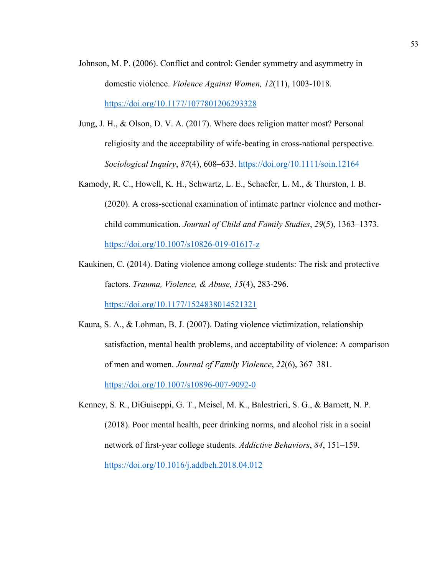- Johnson, M. P. (2006). Conflict and control: Gender symmetry and asymmetry in domestic violence. *Violence Against Women, 12*(11), 1003-1018. <https://doi.org/10.1177/1077801206293328>
- Jung, J. H., & Olson, D. V. A. (2017). Where does religion matter most? Personal religiosity and the acceptability of wife-beating in cross-national perspective. *Sociological Inquiry*, *87*(4), 608–633.<https://doi.org/10.1111/soin.12164>
- Kamody, R. C., Howell, K. H., Schwartz, L. E., Schaefer, L. M., & Thurston, I. B. (2020). A cross-sectional examination of intimate partner violence and motherchild communication. *Journal of Child and Family Studies*, *29*(5), 1363–1373. <https://doi.org/10.1007/s10826-019-01617-z>
- Kaukinen, C. (2014). Dating violence among college students: The risk and protective factors. *Trauma, Violence, & Abuse, 15*(4), 283-296.

<https://doi.org/10.1177/1524838014521321>

- Kaura, S. A., & Lohman, B. J. (2007). Dating violence victimization, relationship satisfaction, mental health problems, and acceptability of violence: A comparison of men and women. *Journal of Family Violence*, *22*(6), 367–381. <https://doi.org/10.1007/s10896-007-9092-0>
- Kenney, S. R., DiGuiseppi, G. T., Meisel, M. K., Balestrieri, S. G., & Barnett, N. P. (2018). Poor mental health, peer drinking norms, and alcohol risk in a social network of first-year college students. *Addictive Behaviors*, *84*, 151–159. <https://doi.org/10.1016/j.addbeh.2018.04.012>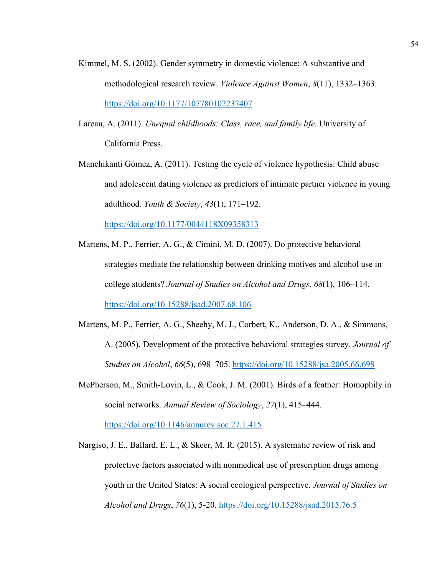- Kimmel, M. S. (2002). Gender symmetry in domestic violence: A substantive and methodological research review. *Violence Against Women*, *8*(11), 1332–1363. <https://doi.org/10.1177/107780102237407>
- Lareau, A. (2011). *Unequal childhoods: Class, race, and family life.* University of California Press.
- Manchikanti Gómez, A. (2011). Testing the cycle of violence hypothesis: Child abuse and adolescent dating violence as predictors of intimate partner violence in young adulthood. *Youth & Society*, *43*(1), 171–192.

<https://doi.org/10.1177/0044118X09358313>

- Martens, M. P., Ferrier, A. G., & Cimini, M. D. (2007). Do protective behavioral strategies mediate the relationship between drinking motives and alcohol use in college students? *Journal of Studies on Alcohol and Drugs*, *68*(1), 106–114. <https://doi.org/10.15288/jsad.2007.68.106>
- Martens, M. P., Ferrier, A. G., Sheehy, M. J., Corbett, K., Anderson, D. A., & Simmons, A. (2005). Development of the protective behavioral strategies survey. *Journal of Studies on Alcohol*, *66*(5), 698–705.<https://doi.org/10.15288/jsa.2005.66.698>
- McPherson, M., Smith-Lovin, L., & Cook, J. M. (2001). Birds of a feather: Homophily in social networks. *Annual Review of Sociology*, *27*(1), 415–444.

<https://doi.org/10.1146/annurev.soc.27.1.415>

Nargiso, J. E., Ballard, E. L., & Skeer, M. R. (2015). A systematic review of risk and protective factors associated with nonmedical use of prescription drugs among youth in the United States: A social ecological perspective. *Journal of Studies on Alcohol and Drugs*, *76*(1), 5-20. <https://doi.org/10.15288/jsad.2015.76.5>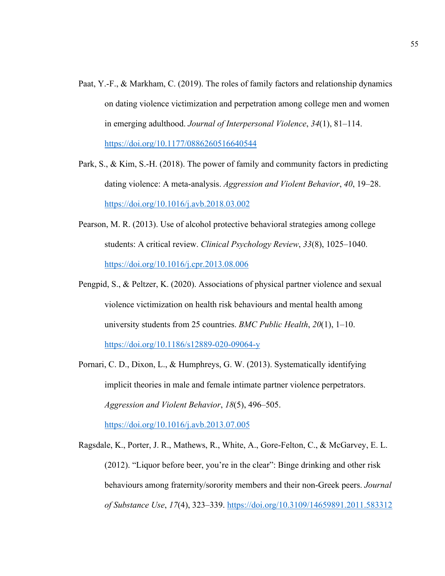- Paat, Y.-F., & Markham, C. (2019). The roles of family factors and relationship dynamics on dating violence victimization and perpetration among college men and women in emerging adulthood. *Journal of Interpersonal Violence*, *34*(1), 81–114. <https://doi.org/10.1177/0886260516640544>
- Park, S., & Kim, S.-H. (2018). The power of family and community factors in predicting dating violence: A meta-analysis. *Aggression and Violent Behavior*, *40*, 19–28. <https://doi.org/10.1016/j.avb.2018.03.002>
- Pearson, M. R. (2013). Use of alcohol protective behavioral strategies among college students: A critical review. *Clinical Psychology Review*, *33*(8), 1025–1040. <https://doi.org/10.1016/j.cpr.2013.08.006>
- Pengpid, S., & Peltzer, K. (2020). Associations of physical partner violence and sexual violence victimization on health risk behaviours and mental health among university students from 25 countries. *BMC Public Health*, *20*(1), 1–10. <https://doi.org/10.1186/s12889-020-09064-y>
- Pornari, C. D., Dixon, L., & Humphreys, G. W. (2013). Systematically identifying implicit theories in male and female intimate partner violence perpetrators. *Aggression and Violent Behavior*, *18*(5), 496–505.

<https://doi.org/10.1016/j.avb.2013.07.005>

Ragsdale, K., Porter, J. R., Mathews, R., White, A., Gore-Felton, C., & McGarvey, E. L. (2012). "Liquor before beer, you're in the clear": Binge drinking and other risk behaviours among fraternity/sorority members and their non-Greek peers. *Journal of Substance Use*, *17*(4), 323–339.<https://doi.org/10.3109/14659891.2011.583312>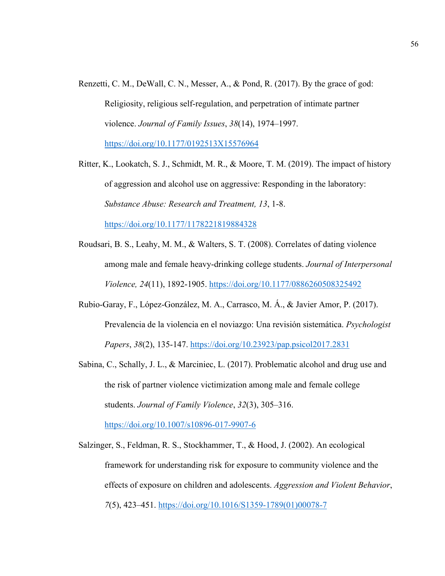Renzetti, C. M., DeWall, C. N., Messer, A., & Pond, R. (2017). By the grace of god: Religiosity, religious self-regulation, and perpetration of intimate partner violence. *Journal of Family Issues*, *38*(14), 1974–1997.

<https://doi.org/10.1177/0192513X15576964>

- Ritter, K., Lookatch, S. J., Schmidt, M. R., & Moore, T. M. (2019). The impact of history of aggression and alcohol use on aggressive: Responding in the laboratory: *Substance Abuse: Research and Treatment, 13*, 1-8. <https://doi.org/10.1177/1178221819884328>
- Roudsari, B. S., Leahy, M. M., & Walters, S. T. (2008). Correlates of dating violence among male and female heavy-drinking college students. *Journal of Interpersonal Violence, 24*(11), 1892-1905.<https://doi.org/10.1177/0886260508325492>
- Rubio-Garay, F., López-González, M. A., Carrasco, M. Á., & Javier Amor, P. (2017). Prevalencia de la violencia en el noviazgo: Una revisión sistemática. *Psychologist Papers*, *38*(2), 135-147.<https://doi.org/10.23923/pap.psicol2017.2831>
- Sabina, C., Schally, J. L., & Marciniec, L. (2017). Problematic alcohol and drug use and the risk of partner violence victimization among male and female college students. *Journal of Family Violence*, *32*(3), 305–316.

<https://doi.org/10.1007/s10896-017-9907-6>

Salzinger, S., Feldman, R. S., Stockhammer, T., & Hood, J. (2002). An ecological framework for understanding risk for exposure to community violence and the effects of exposure on children and adolescents. *Aggression and Violent Behavior*, *7*(5), 423–451. [https://doi.org/10.1016/S1359-1789\(01\)00078-7](https://doi.org/10.1016/S1359-1789(01)00078-7)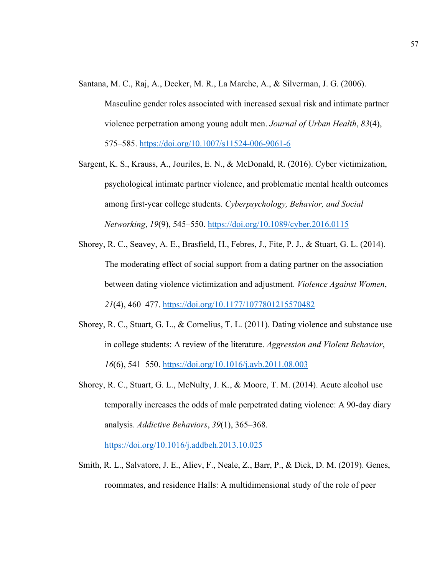Santana, M. C., Raj, A., Decker, M. R., La Marche, A., & Silverman, J. G. (2006).

Masculine gender roles associated with increased sexual risk and intimate partner violence perpetration among young adult men. *Journal of Urban Health*, *83*(4), 575–585.<https://doi.org/10.1007/s11524-006-9061-6>

- Sargent, K. S., Krauss, A., Jouriles, E. N., & McDonald, R. (2016). Cyber victimization, psychological intimate partner violence, and problematic mental health outcomes among first-year college students. *Cyberpsychology, Behavior, and Social Networking*, *19*(9), 545–550.<https://doi.org/10.1089/cyber.2016.0115>
- Shorey, R. C., Seavey, A. E., Brasfield, H., Febres, J., Fite, P. J., & Stuart, G. L. (2014). The moderating effect of social support from a dating partner on the association between dating violence victimization and adjustment. *Violence Against Women*, *21*(4), 460–477.<https://doi.org/10.1177/1077801215570482>
- Shorey, R. C., Stuart, G. L., & Cornelius, T. L. (2011). Dating violence and substance use in college students: A review of the literature. *Aggression and Violent Behavior*, *16*(6), 541–550.<https://doi.org/10.1016/j.avb.2011.08.003>
- Shorey, R. C., Stuart, G. L., McNulty, J. K., & Moore, T. M. (2014). Acute alcohol use temporally increases the odds of male perpetrated dating violence: A 90-day diary analysis. *Addictive Behaviors*, *39*(1), 365–368.

<https://doi.org/10.1016/j.addbeh.2013.10.025>

Smith, R. L., Salvatore, J. E., Aliev, F., Neale, Z., Barr, P., & Dick, D. M. (2019). Genes, roommates, and residence Halls: A multidimensional study of the role of peer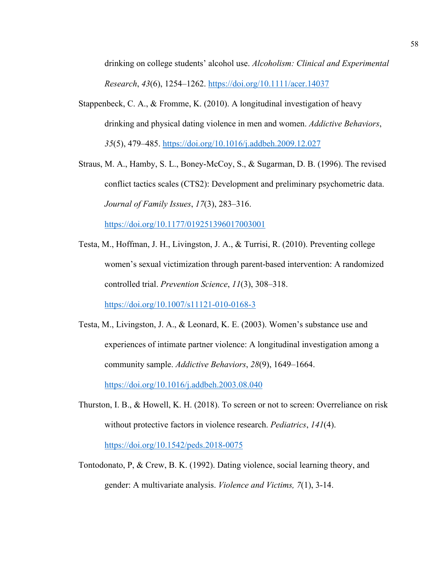drinking on college students' alcohol use. *Alcoholism: Clinical and Experimental Research*, *43*(6), 1254–1262.<https://doi.org/10.1111/acer.14037>

- Stappenbeck, C. A., & Fromme, K. (2010). A longitudinal investigation of heavy drinking and physical dating violence in men and women. *Addictive Behaviors*, *35*(5), 479–485.<https://doi.org/10.1016/j.addbeh.2009.12.027>
- Straus, M. A., Hamby, S. L., Boney-McCoy, S., & Sugarman, D. B. (1996). The revised conflict tactics scales (CTS2): Development and preliminary psychometric data. *Journal of Family Issues*, *17*(3), 283–316. <https://doi.org/10.1177/019251396017003001>
- Testa, M., Hoffman, J. H., Livingston, J. A., & Turrisi, R. (2010). Preventing college women's sexual victimization through parent-based intervention: A randomized controlled trial. *Prevention Science*, *11*(3), 308–318.

<https://doi.org/10.1007/s11121-010-0168-3>

- Testa, M., Livingston, J. A., & Leonard, K. E. (2003). Women's substance use and experiences of intimate partner violence: A longitudinal investigation among a community sample. *Addictive Behaviors*, *28*(9), 1649–1664. <https://doi.org/10.1016/j.addbeh.2003.08.040>
- Thurston, I. B., & Howell, K. H. (2018). To screen or not to screen: Overreliance on risk without protective factors in violence research. *Pediatrics*, *141*(4). <https://doi.org/10.1542/peds.2018-0075>
- Tontodonato, P, & Crew, B. K. (1992). Dating violence, social learning theory, and gender: A multivariate analysis. *Violence and Victims, 7*(1), 3-14.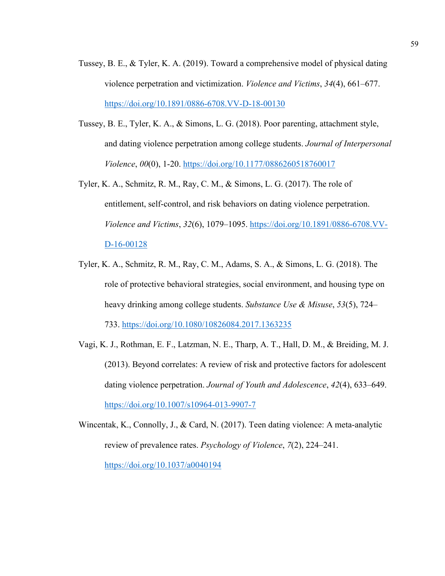- Tussey, B. E., & Tyler, K. A. (2019). Toward a comprehensive model of physical dating violence perpetration and victimization. *Violence and Victims*, *34*(4), 661–677. <https://doi.org/10.1891/0886-6708.VV-D-18-00130>
- Tussey, B. E., Tyler, K. A., & Simons, L. G. (2018). Poor parenting, attachment style, and dating violence perpetration among college students. *Journal of Interpersonal Violence*, *00*(0), 1-20.<https://doi.org/10.1177/0886260518760017>
- Tyler, K. A., Schmitz, R. M., Ray, C. M., & Simons, L. G. (2017). The role of entitlement, self-control, and risk behaviors on dating violence perpetration. *Violence and Victims*, *32*(6), 1079–1095. [https://doi.org/10.1891/0886-6708.VV-](https://doi.org/10.1891/0886-6708.VV-D-16-00128)[D-16-00128](https://doi.org/10.1891/0886-6708.VV-D-16-00128)
- Tyler, K. A., Schmitz, R. M., Ray, C. M., Adams, S. A., & Simons, L. G. (2018). The role of protective behavioral strategies, social environment, and housing type on heavy drinking among college students. *Substance Use & Misuse*, *53*(5), 724– 733.<https://doi.org/10.1080/10826084.2017.1363235>

Vagi, K. J., Rothman, E. F., Latzman, N. E., Tharp, A. T., Hall, D. M., & Breiding, M. J. (2013). Beyond correlates: A review of risk and protective factors for adolescent dating violence perpetration. *Journal of Youth and Adolescence*, *42*(4), 633–649. <https://doi.org/10.1007/s10964-013-9907-7>

Wincentak, K., Connolly, J., & Card, N. (2017). Teen dating violence: A meta-analytic review of prevalence rates. *Psychology of Violence*, *7*(2), 224–241. <https://doi.org/10.1037/a0040194>